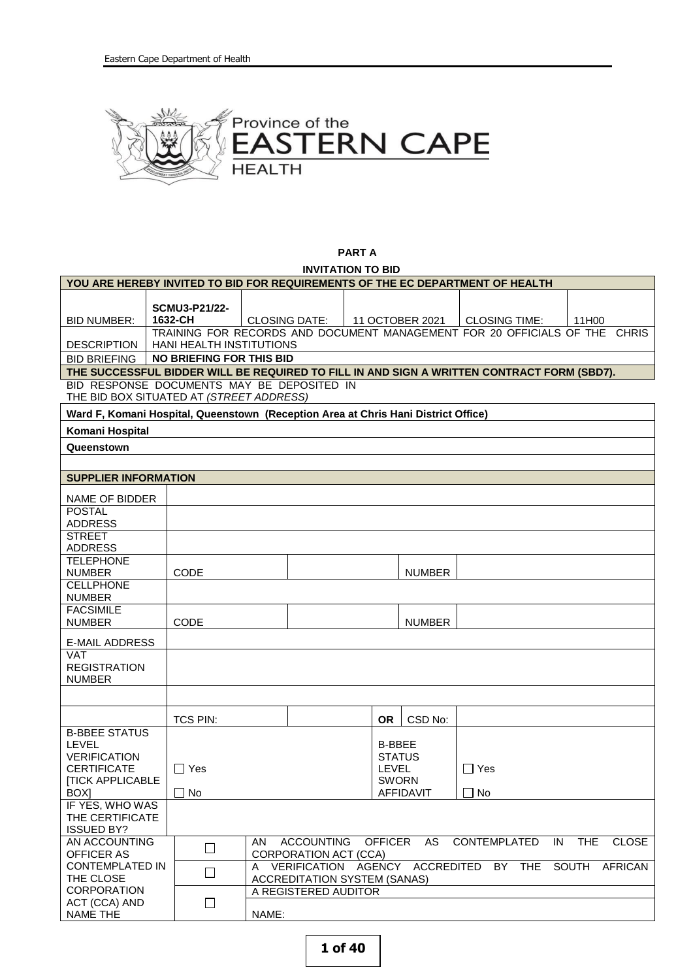

**PART A INVITATION TO BID**

| YOU ARE HEREBY INVITED TO BID FOR REQUIREMENTS OF THE EC DEPARTMENT OF HEALTH                                        |                                                                                                                                                      |                      |                                                                            |                                             |  |     |                                                                                                        |                                         |            |                |  |
|----------------------------------------------------------------------------------------------------------------------|------------------------------------------------------------------------------------------------------------------------------------------------------|----------------------|----------------------------------------------------------------------------|---------------------------------------------|--|-----|--------------------------------------------------------------------------------------------------------|-----------------------------------------|------------|----------------|--|
| <b>BID NUMBER:</b>                                                                                                   | 1632-CH                                                                                                                                              | <b>SCMU3-P21/22-</b> |                                                                            | <b>CLOSING DATE:</b>                        |  |     | 11 OCTOBER 2021                                                                                        | <b>CLOSING TIME:</b>                    | 11H00      |                |  |
|                                                                                                                      |                                                                                                                                                      |                      | TRAINING FOR RECORDS AND DOCUMENT MANAGEMENT FOR 20 OFFICIALS OF THE CHRIS |                                             |  |     |                                                                                                        |                                         |            |                |  |
| <b>DESCRIPTION</b>                                                                                                   | <b>HANI HEALTH INSTITUTIONS</b>                                                                                                                      |                      |                                                                            |                                             |  |     |                                                                                                        |                                         |            |                |  |
|                                                                                                                      | <b>NO BRIEFING FOR THIS BID</b><br><b>BID BRIEFING</b><br>THE SUCCESSFUL BIDDER WILL BE REQUIRED TO FILL IN AND SIGN A WRITTEN CONTRACT FORM (SBD7). |                      |                                                                            |                                             |  |     |                                                                                                        |                                         |            |                |  |
| BID RESPONSE DOCUMENTS MAY BE DEPOSITED IN                                                                           |                                                                                                                                                      |                      |                                                                            |                                             |  |     |                                                                                                        |                                         |            |                |  |
| THE BID BOX SITUATED AT (STREET ADDRESS)                                                                             |                                                                                                                                                      |                      |                                                                            |                                             |  |     |                                                                                                        |                                         |            |                |  |
| Ward F, Komani Hospital, Queenstown (Reception Area at Chris Hani District Office)                                   |                                                                                                                                                      |                      |                                                                            |                                             |  |     |                                                                                                        |                                         |            |                |  |
| Komani Hospital                                                                                                      |                                                                                                                                                      |                      |                                                                            |                                             |  |     |                                                                                                        |                                         |            |                |  |
| Queenstown                                                                                                           |                                                                                                                                                      |                      |                                                                            |                                             |  |     |                                                                                                        |                                         |            |                |  |
|                                                                                                                      |                                                                                                                                                      |                      |                                                                            |                                             |  |     |                                                                                                        |                                         |            |                |  |
| <b>SUPPLIER INFORMATION</b>                                                                                          |                                                                                                                                                      |                      |                                                                            |                                             |  |     |                                                                                                        |                                         |            |                |  |
| NAME OF BIDDER                                                                                                       |                                                                                                                                                      |                      |                                                                            |                                             |  |     |                                                                                                        |                                         |            |                |  |
| <b>POSTAL</b><br><b>ADDRESS</b>                                                                                      |                                                                                                                                                      |                      |                                                                            |                                             |  |     |                                                                                                        |                                         |            |                |  |
| <b>STREET</b>                                                                                                        |                                                                                                                                                      |                      |                                                                            |                                             |  |     |                                                                                                        |                                         |            |                |  |
| <b>ADDRESS</b><br><b>TELEPHONE</b>                                                                                   |                                                                                                                                                      |                      |                                                                            |                                             |  |     |                                                                                                        |                                         |            |                |  |
| <b>NUMBER</b>                                                                                                        |                                                                                                                                                      | <b>CODE</b>          |                                                                            |                                             |  |     | <b>NUMBER</b>                                                                                          |                                         |            |                |  |
| <b>CELLPHONE</b><br><b>NUMBER</b>                                                                                    |                                                                                                                                                      |                      |                                                                            |                                             |  |     |                                                                                                        |                                         |            |                |  |
| <b>FACSIMILE</b>                                                                                                     |                                                                                                                                                      |                      |                                                                            |                                             |  |     |                                                                                                        |                                         |            |                |  |
| <b>NUMBER</b>                                                                                                        |                                                                                                                                                      | <b>CODE</b>          |                                                                            |                                             |  |     | <b>NUMBER</b>                                                                                          |                                         |            |                |  |
| <b>E-MAIL ADDRESS</b>                                                                                                |                                                                                                                                                      |                      |                                                                            |                                             |  |     |                                                                                                        |                                         |            |                |  |
| <b>VAT</b><br><b>REGISTRATION</b><br><b>NUMBER</b>                                                                   |                                                                                                                                                      |                      |                                                                            |                                             |  |     |                                                                                                        |                                         |            |                |  |
|                                                                                                                      |                                                                                                                                                      |                      |                                                                            |                                             |  |     |                                                                                                        |                                         |            |                |  |
|                                                                                                                      |                                                                                                                                                      | TCS PIN:             |                                                                            |                                             |  | OR. | CSD No:                                                                                                |                                         |            |                |  |
| <b>B-BBEE STATUS</b><br><b>LEVEL</b><br><b>VERIFICATION</b><br><b>CERTIFICATE</b><br><b>[TICK APPLICABLE</b><br>BOX] |                                                                                                                                                      | ∏ Yes<br>$\Box$ No   |                                                                            |                                             |  |     | <b>B-BBEE</b><br><b>STATUS</b><br>$\Box$ Yes<br><b>LEVEL</b><br><b>SWORN</b><br>$\Box$ No<br>AFFIDAVIT |                                         |            |                |  |
| IF YES, WHO WAS<br>THE CERTIFICATE<br><b>ISSUED BY?</b>                                                              |                                                                                                                                                      |                      |                                                                            |                                             |  |     |                                                                                                        |                                         |            |                |  |
| AN ACCOUNTING<br><b>OFFICER AS</b>                                                                                   |                                                                                                                                                      | $\Box$               | AN                                                                         | ACCOUNTING OFFICER<br>CORPORATION ACT (CCA) |  |     | AS                                                                                                     | <b>CONTEMPLATED</b><br>IN               | <b>THE</b> | <b>CLOSE</b>   |  |
| <b>CONTEMPLATED IN</b><br>THE CLOSE                                                                                  |                                                                                                                                                      | $\Box$               |                                                                            | <b>ACCREDITATION SYSTEM (SANAS)</b>         |  |     |                                                                                                        | A VERIFICATION AGENCY ACCREDITED BY THE | SOUTH      | <b>AFRICAN</b> |  |
| <b>CORPORATION</b><br>ACT (CCA) AND                                                                                  |                                                                                                                                                      |                      |                                                                            | A REGISTERED AUDITOR                        |  |     |                                                                                                        |                                         |            |                |  |
| NAME THE                                                                                                             |                                                                                                                                                      | $\Box$               | NAME:                                                                      |                                             |  |     |                                                                                                        |                                         |            |                |  |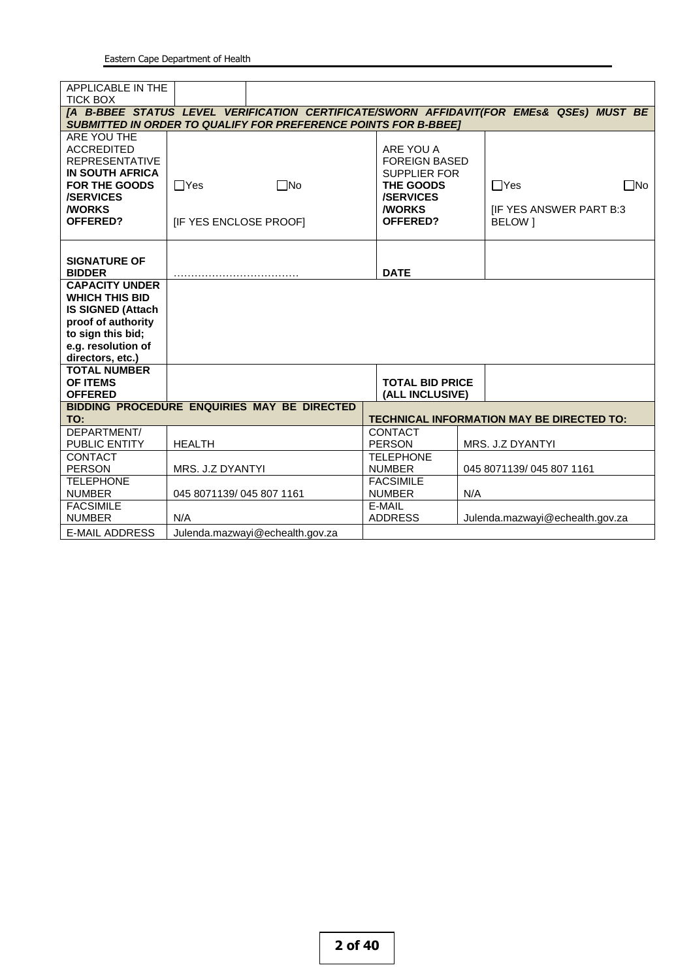| APPLICABLE IN THE                                                                       |                          |                                             |                        |         |                                                  |  |  |  |
|-----------------------------------------------------------------------------------------|--------------------------|---------------------------------------------|------------------------|---------|--------------------------------------------------|--|--|--|
| <b>TICK BOX</b>                                                                         |                          |                                             |                        |         |                                                  |  |  |  |
| [A B-BBEE STATUS LEVEL VERIFICATION CERTIFICATE/SWORN AFFIDAVIT(FOR EMES& QSEs) MUST BE |                          |                                             |                        |         |                                                  |  |  |  |
| <b>SUBMITTED IN ORDER TO QUALIFY FOR PREFERENCE POINTS FOR B-BBEET</b>                  |                          |                                             |                        |         |                                                  |  |  |  |
| ARE YOU THE                                                                             |                          |                                             |                        |         |                                                  |  |  |  |
| <b>ACCREDITED</b>                                                                       |                          |                                             | ARE YOU A              |         |                                                  |  |  |  |
| <b>REPRESENTATIVE</b>                                                                   |                          |                                             | <b>FOREIGN BASED</b>   |         |                                                  |  |  |  |
| <b>IN SOUTH AFRICA</b>                                                                  |                          |                                             | <b>SUPPLIER FOR</b>    |         |                                                  |  |  |  |
| <b>FOR THE GOODS</b>                                                                    | $\Box$ Yes               | $\Box$ No                                   | THE GOODS              |         | $\Box$ Yes<br>$\Box$ No                          |  |  |  |
| <b>/SERVICES</b>                                                                        |                          |                                             | <b>/SERVICES</b>       |         |                                                  |  |  |  |
| <b><i>NORKS</i></b>                                                                     |                          |                                             | <b><i>NORKS</i></b>    |         | <b>IF YES ANSWER PART B:3</b>                    |  |  |  |
| OFFERED?                                                                                | [IF YES ENCLOSE PROOF]   |                                             | OFFERED?               | BELOW 1 |                                                  |  |  |  |
|                                                                                         |                          |                                             |                        |         |                                                  |  |  |  |
|                                                                                         |                          |                                             |                        |         |                                                  |  |  |  |
| <b>SIGNATURE OF</b><br><b>BIDDER</b>                                                    |                          |                                             |                        |         |                                                  |  |  |  |
| <b>CAPACITY UNDER</b>                                                                   |                          |                                             | <b>DATE</b>            |         |                                                  |  |  |  |
| <b>WHICH THIS BID</b>                                                                   |                          |                                             |                        |         |                                                  |  |  |  |
| <b>IS SIGNED (Attach</b>                                                                |                          |                                             |                        |         |                                                  |  |  |  |
| proof of authority                                                                      |                          |                                             |                        |         |                                                  |  |  |  |
| to sign this bid;                                                                       |                          |                                             |                        |         |                                                  |  |  |  |
| e.g. resolution of                                                                      |                          |                                             |                        |         |                                                  |  |  |  |
| directors, etc.)                                                                        |                          |                                             |                        |         |                                                  |  |  |  |
| <b>TOTAL NUMBER</b>                                                                     |                          |                                             |                        |         |                                                  |  |  |  |
| OF ITEMS                                                                                |                          |                                             | <b>TOTAL BID PRICE</b> |         |                                                  |  |  |  |
| <b>OFFERED</b>                                                                          |                          |                                             | (ALL INCLUSIVE)        |         |                                                  |  |  |  |
|                                                                                         |                          | BIDDING PROCEDURE ENQUIRIES MAY BE DIRECTED |                        |         |                                                  |  |  |  |
| TO:                                                                                     |                          |                                             |                        |         | <b>TECHNICAL INFORMATION MAY BE DIRECTED TO:</b> |  |  |  |
| DEPARTMENT/                                                                             |                          |                                             | <b>CONTACT</b>         |         |                                                  |  |  |  |
| PUBLIC ENTITY                                                                           | <b>HEALTH</b>            |                                             | <b>PERSON</b>          |         | MRS. J.Z DYANTYI                                 |  |  |  |
| CONTACT                                                                                 |                          |                                             | <b>TELEPHONE</b>       |         |                                                  |  |  |  |
| <b>PERSON</b>                                                                           | MRS. J.Z DYANTYI         |                                             | <b>NUMBER</b>          |         | 045 8071139/045 807 1161                         |  |  |  |
| <b>TELEPHONE</b>                                                                        |                          |                                             | <b>FACSIMILE</b>       |         |                                                  |  |  |  |
| <b>NUMBER</b>                                                                           | 045 8071139/045 807 1161 |                                             | <b>NUMBER</b>          | N/A     |                                                  |  |  |  |
| <b>FACSIMILE</b>                                                                        |                          |                                             | E-MAIL                 |         |                                                  |  |  |  |
| <b>NUMBER</b>                                                                           | N/A                      |                                             | <b>ADDRESS</b>         |         | Julenda.mazwayi@echealth.gov.za                  |  |  |  |
| <b>E-MAIL ADDRESS</b>                                                                   |                          | Julenda.mazwayi@echealth.gov.za             |                        |         |                                                  |  |  |  |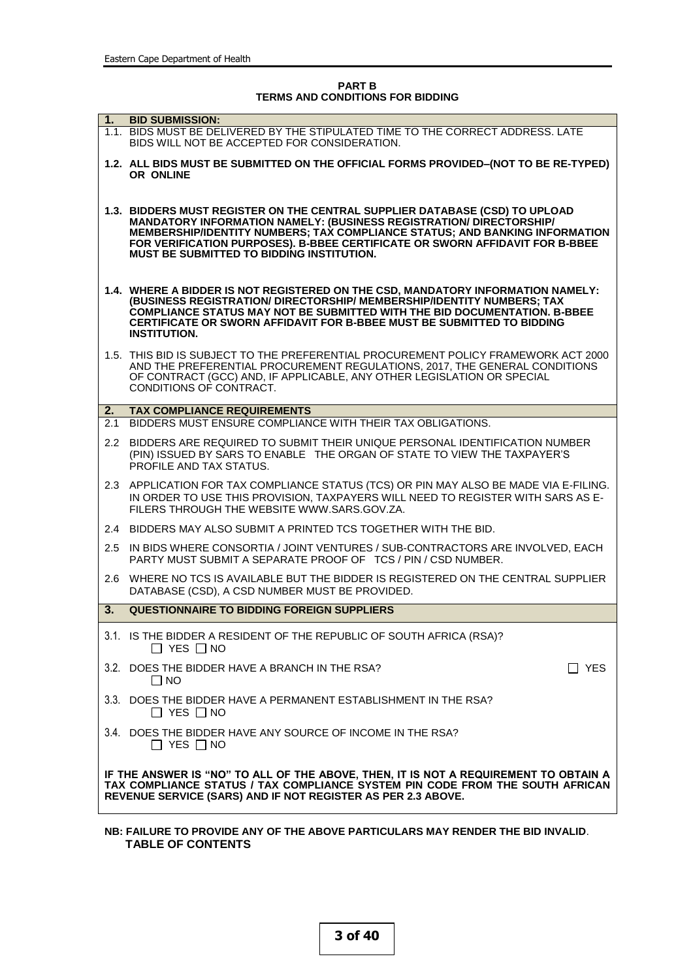**PART B TERMS AND CONDITIONS FOR BIDDING**

|     | 1. BID SUBMISSION:                                                                                                                                                                                                                                                                                                                                                    |
|-----|-----------------------------------------------------------------------------------------------------------------------------------------------------------------------------------------------------------------------------------------------------------------------------------------------------------------------------------------------------------------------|
|     | 1.1. BIDS MUST BE DELIVERED BY THE STIPULATED TIME TO THE CORRECT ADDRESS. LATE<br>BIDS WILL NOT BE ACCEPTED FOR CONSIDERATION.                                                                                                                                                                                                                                       |
|     | 1.2. ALL BIDS MUST BE SUBMITTED ON THE OFFICIAL FORMS PROVIDED-(NOT TO BE RE-TYPED)<br>OR ONLINE                                                                                                                                                                                                                                                                      |
|     | 1.3. BIDDERS MUST REGISTER ON THE CENTRAL SUPPLIER DATABASE (CSD) TO UPLOAD<br><b>MANDATORY INFORMATION NAMELY: (BUSINESS REGISTRATION/ DIRECTORSHIP/</b><br>MEMBERSHIP/IDENTITY NUMBERS; TAX COMPLIANCE STATUS; AND BANKING INFORMATION<br>FOR VERIFICATION PURPOSES). B-BBEE CERTIFICATE OR SWORN AFFIDAVIT FOR B-BBEE<br>MUST BE SUBMITTED TO BIDDING INSTITUTION. |
|     | 1.4. WHERE A BIDDER IS NOT REGISTERED ON THE CSD, MANDATORY INFORMATION NAMELY:<br>(BUSINESS REGISTRATION/ DIRECTORSHIP/ MEMBERSHIP/IDENTITY NUMBERS; TAX<br>COMPLIANCE STATUS MAY NOT BE SUBMITTED WITH THE BID DOCUMENTATION. B-BBEE<br>CERTIFICATE OR SWORN AFFIDAVIT FOR B-BBEE MUST BE SUBMITTED TO BIDDING<br><b>INSTITUTION.</b>                               |
|     | 1.5. THIS BID IS SUBJECT TO THE PREFERENTIAL PROCUREMENT POLICY FRAMEWORK ACT 2000<br>AND THE PREFERENTIAL PROCUREMENT REGULATIONS, 2017, THE GENERAL CONDITIONS<br>OF CONTRACT (GCC) AND, IF APPLICABLE, ANY OTHER LEGISLATION OR SPECIAL<br>CONDITIONS OF CONTRACT.                                                                                                 |
| 2.  | <b>TAX COMPLIANCE REQUIREMENTS</b>                                                                                                                                                                                                                                                                                                                                    |
| 2.1 | BIDDERS MUST ENSURE COMPLIANCE WITH THEIR TAX OBLIGATIONS.                                                                                                                                                                                                                                                                                                            |
| 2.2 | BIDDERS ARE REQUIRED TO SUBMIT THEIR UNIQUE PERSONAL IDENTIFICATION NUMBER<br>(PIN) ISSUED BY SARS TO ENABLE THE ORGAN OF STATE TO VIEW THE TAXPAYER'S<br>PROFILE AND TAX STATUS.                                                                                                                                                                                     |
|     | 2.3 APPLICATION FOR TAX COMPLIANCE STATUS (TCS) OR PIN MAY ALSO BE MADE VIA E-FILING.<br>IN ORDER TO USE THIS PROVISION, TAXPAYERS WILL NEED TO REGISTER WITH SARS AS E-<br>FILERS THROUGH THE WEBSITE WWW.SARS.GOV.ZA.                                                                                                                                               |
|     | 2.4 BIDDERS MAY ALSO SUBMIT A PRINTED TCS TOGETHER WITH THE BID.                                                                                                                                                                                                                                                                                                      |
| 2.5 | IN BIDS WHERE CONSORTIA / JOINT VENTURES / SUB-CONTRACTORS ARE INVOLVED, EACH<br>PARTY MUST SUBMIT A SEPARATE PROOF OF TCS / PIN / CSD NUMBER.                                                                                                                                                                                                                        |
|     | 2.6 WHERE NO TCS IS AVAILABLE BUT THE BIDDER IS REGISTERED ON THE CENTRAL SUPPLIER<br>DATABASE (CSD), A CSD NUMBER MUST BE PROVIDED.                                                                                                                                                                                                                                  |
| 3.  | <b>QUESTIONNAIRE TO BIDDING FOREIGN SUPPLIERS</b>                                                                                                                                                                                                                                                                                                                     |
|     | 3.1. IS THE BIDDER A RESIDENT OF THE REPUBLIC OF SOUTH AFRICA (RSA)?<br>$\Box$ YES $\Box$ NO                                                                                                                                                                                                                                                                          |
|     | 3.2. DOES THE BIDDER HAVE A BRANCH IN THE RSA?<br><b>YES</b><br>$\Box$ No                                                                                                                                                                                                                                                                                             |
|     | 3.3. DOES THE BIDDER HAVE A PERMANENT ESTABLISHMENT IN THE RSA?<br>$\Box$ YES $\Box$ NO                                                                                                                                                                                                                                                                               |
|     | 3.4. DOES THE BIDDER HAVE ANY SOURCE OF INCOME IN THE RSA?<br>$\Box$ YES $\Box$ NO                                                                                                                                                                                                                                                                                    |
|     | IF THE ANSWER IS "NO" TO ALL OF THE ABOVE, THEN, IT IS NOT A REQUIREMENT TO OBTAIN A<br>TAX COMPLIANCE STATUS / TAX COMPLIANCE SYSTEM PIN CODE FROM THE SOUTH AFRICAN<br>REVENUE SERVICE (SARS) AND IF NOT REGISTER AS PER 2.3 ABOVE.                                                                                                                                 |

**NB: FAILURE TO PROVIDE ANY OF THE ABOVE PARTICULARS MAY RENDER THE BID INVALID**. **TABLE OF CONTENTS**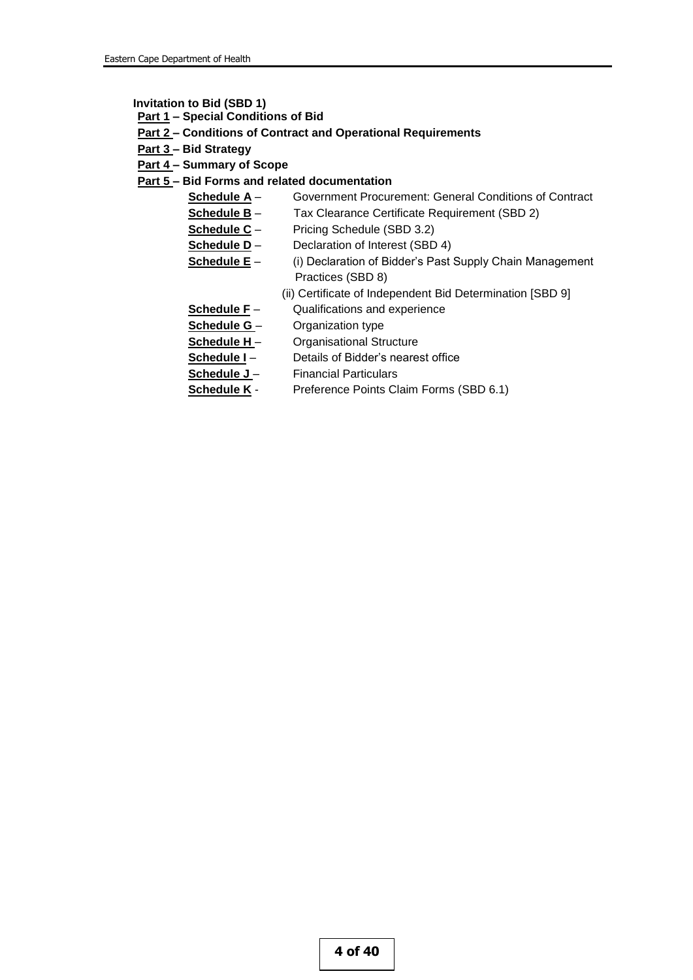**Invitation to Bid (SBD 1)**

- **Part 1 – Special Conditions of Bid**
- **Part 2 – Conditions of Contract and Operational Requirements**
- **Part 3 – Bid Strategy**
- **Part 4 – Summary of Scope**

## **Part 5 – Bid Forms and related documentation**

- **Schedule A** Government Procurement: General Conditions of Contract
- **Schedule B** Tax Clearance Certificate Requirement (SBD 2)
- **Schedule C** Pricing Schedule (SBD 3.2)
- **Schedule D** Declaration of Interest (SBD 4)
- **<u>Schedule E</u>** (i) Declaration of Bidder's Past Supply Chain Management Practices (SBD 8)
	- (ii) Certificate of Independent Bid Determination [SBD 9]
- **Schedule F** Qualifications and experience
- **Schedule G**  Organization type
- **Schedule H** Organisational Structure
- **Schedule I** Details of Bidder's nearest office
- Schedule J Financial Particulars
- **Schedule K** Preference Points Claim Forms (SBD 6.1)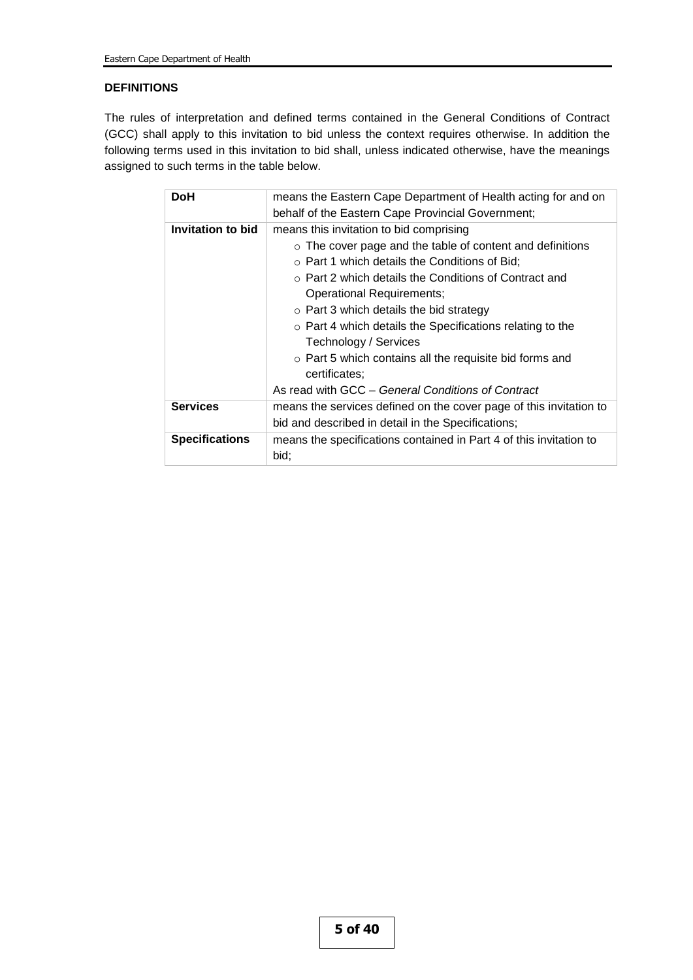## **DEFINITIONS**

The rules of interpretation and defined terms contained in the General Conditions of Contract (GCC) shall apply to this invitation to bid unless the context requires otherwise. In addition the following terms used in this invitation to bid shall, unless indicated otherwise, have the meanings assigned to such terms in the table below.

| means the Eastern Cape Department of Health acting for and on      |
|--------------------------------------------------------------------|
| behalf of the Eastern Cape Provincial Government;                  |
| means this invitation to bid comprising                            |
| $\circ$ The cover page and the table of content and definitions    |
| $\circ$ Part 1 which details the Conditions of Bid;                |
| $\circ$ Part 2 which details the Conditions of Contract and        |
| Operational Requirements;                                          |
| $\circ$ Part 3 which details the bid strategy                      |
| $\circ$ Part 4 which details the Specifications relating to the    |
| Technology / Services                                              |
| $\circ$ Part 5 which contains all the requisite bid forms and      |
| certificates:                                                      |
| As read with GCC - General Conditions of Contract                  |
| means the services defined on the cover page of this invitation to |
| bid and described in detail in the Specifications;                 |
| means the specifications contained in Part 4 of this invitation to |
| bid:                                                               |
|                                                                    |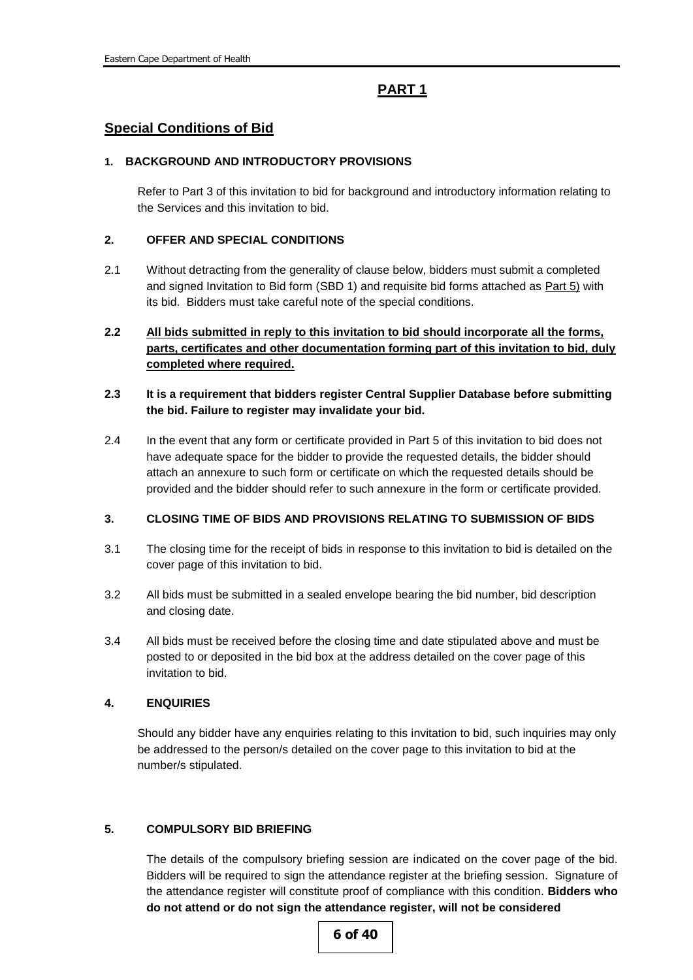# **PART 1**

## **Special Conditions of Bid**

#### **1. BACKGROUND AND INTRODUCTORY PROVISIONS**

Refer to Part 3 of this invitation to bid for background and introductory information relating to the Services and this invitation to bid.

### **2. OFFER AND SPECIAL CONDITIONS**

- 2.1 Without detracting from the generality of clause below, bidders must submit a completed and signed Invitation to Bid form (SBD 1) and requisite bid forms attached as **Part 5)** with its bid. Bidders must take careful note of the special conditions.
- **2.2 All bids submitted in reply to this invitation to bid should incorporate all the forms, parts, certificates and other documentation forming part of this invitation to bid, duly completed where required.**

## **2.3 It is a requirement that bidders register Central Supplier Database before submitting the bid. Failure to register may invalidate your bid.**

2.4 In the event that any form or certificate provided in Part 5 of this invitation to bid does not have adequate space for the bidder to provide the requested details, the bidder should attach an annexure to such form or certificate on which the requested details should be provided and the bidder should refer to such annexure in the form or certificate provided.

#### **3. CLOSING TIME OF BIDS AND PROVISIONS RELATING TO SUBMISSION OF BIDS**

- 3.1 The closing time for the receipt of bids in response to this invitation to bid is detailed on the cover page of this invitation to bid.
- 3.2 All bids must be submitted in a sealed envelope bearing the bid number, bid description and closing date.
- 3.4 All bids must be received before the closing time and date stipulated above and must be posted to or deposited in the bid box at the address detailed on the cover page of this invitation to bid.

#### **4. ENQUIRIES**

Should any bidder have any enquiries relating to this invitation to bid, such inquiries may only be addressed to the person/s detailed on the cover page to this invitation to bid at the number/s stipulated.

#### **5. COMPULSORY BID BRIEFING**

The details of the compulsory briefing session are indicated on the cover page of the bid. Bidders will be required to sign the attendance register at the briefing session. Signature of the attendance register will constitute proof of compliance with this condition. **Bidders who do not attend or do not sign the attendance register, will not be considered**

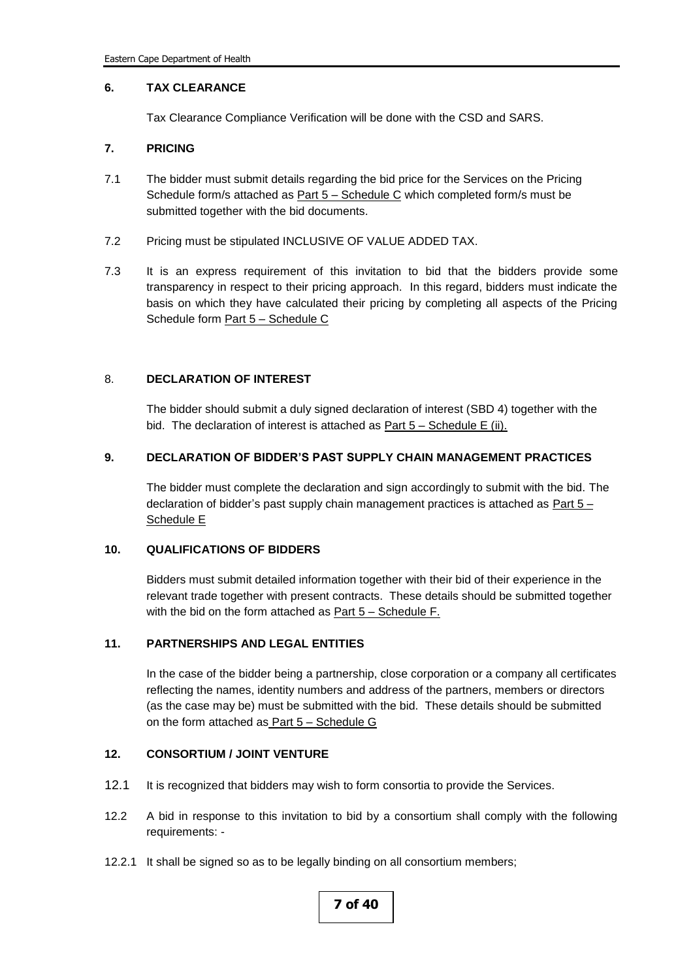#### **6. TAX CLEARANCE**

Tax Clearance Compliance Verification will be done with the CSD and SARS.

#### **7. PRICING**

- 7.1 The bidder must submit details regarding the bid price for the Services on the Pricing Schedule form/s attached as **Part 5 – Schedule C** which completed form/s must be submitted together with the bid documents.
- 7.2 Pricing must be stipulated INCLUSIVE OF VALUE ADDED TAX.
- 7.3 It is an express requirement of this invitation to bid that the bidders provide some transparency in respect to their pricing approach. In this regard, bidders must indicate the basis on which they have calculated their pricing by completing all aspects of the Pricing Schedule form Part 5 – Schedule C

#### 8. **DECLARATION OF INTEREST**

The bidder should submit a duly signed declaration of interest (SBD 4) together with the bid. The declaration of interest is attached as  $Part 5 - Schedule E (ii)$ .

#### **9. DECLARATION OF BIDDER'S PAST SUPPLY CHAIN MANAGEMENT PRACTICES**

The bidder must complete the declaration and sign accordingly to submit with the bid. The declaration of bidder's past supply chain management practices is attached as Part 5 – Schedule E

#### **10. QUALIFICATIONS OF BIDDERS**

Bidders must submit detailed information together with their bid of their experience in the relevant trade together with present contracts. These details should be submitted together with the bid on the form attached as Part 5 – Schedule F.

#### **11. PARTNERSHIPS AND LEGAL ENTITIES**

In the case of the bidder being a partnership, close corporation or a company all certificates reflecting the names, identity numbers and address of the partners, members or directors (as the case may be) must be submitted with the bid. These details should be submitted on the form attached as Part 5 – Schedule G

#### **12. CONSORTIUM / JOINT VENTURE**

- 12.1 It is recognized that bidders may wish to form consortia to provide the Services.
- 12.2 A bid in response to this invitation to bid by a consortium shall comply with the following requirements: -
- 12.2.1 It shall be signed so as to be legally binding on all consortium members;

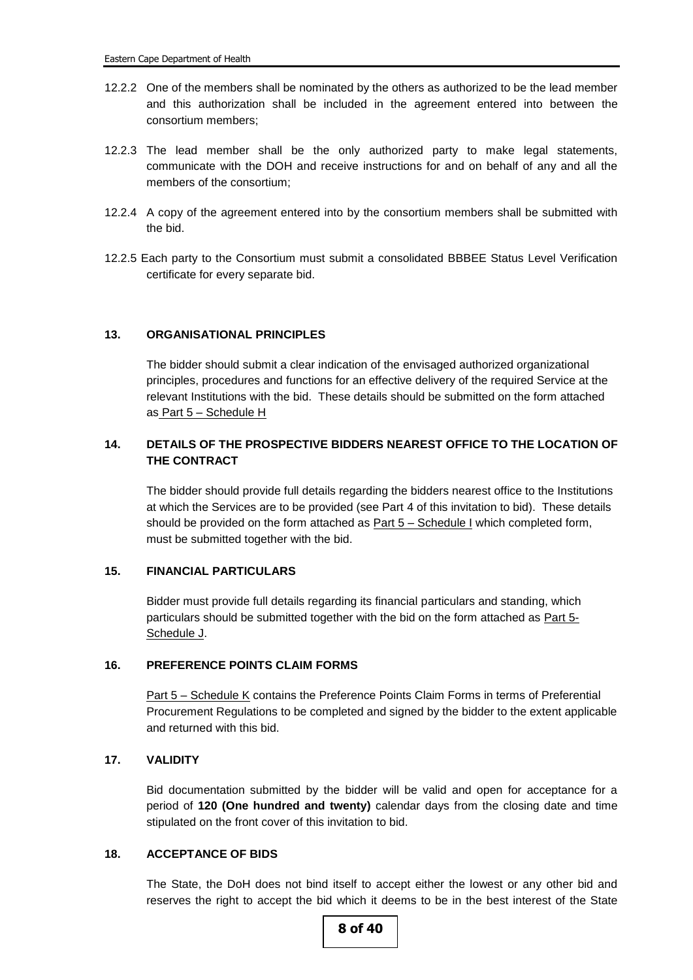- 12.2.2 One of the members shall be nominated by the others as authorized to be the lead member and this authorization shall be included in the agreement entered into between the consortium members;
- 12.2.3 The lead member shall be the only authorized party to make legal statements, communicate with the DOH and receive instructions for and on behalf of any and all the members of the consortium;
- 12.2.4 A copy of the agreement entered into by the consortium members shall be submitted with the bid.
- 12.2.5 Each party to the Consortium must submit a consolidated BBBEE Status Level Verification certificate for every separate bid.

#### **13. ORGANISATIONAL PRINCIPLES**

The bidder should submit a clear indication of the envisaged authorized organizational principles, procedures and functions for an effective delivery of the required Service at the relevant Institutions with the bid. These details should be submitted on the form attached as Part 5 - Schedule H

## **14. DETAILS OF THE PROSPECTIVE BIDDERS NEAREST OFFICE TO THE LOCATION OF THE CONTRACT**

The bidder should provide full details regarding the bidders nearest office to the Institutions at which the Services are to be provided (see Part 4 of this invitation to bid). These details should be provided on the form attached as **Part 5 – Schedule I** which completed form, must be submitted together with the bid.

#### **15. FINANCIAL PARTICULARS**

Bidder must provide full details regarding its financial particulars and standing, which particulars should be submitted together with the bid on the form attached as Part 5-Schedule J.

#### **16. PREFERENCE POINTS CLAIM FORMS**

Part 5 – Schedule K contains the Preference Points Claim Forms in terms of Preferential Procurement Regulations to be completed and signed by the bidder to the extent applicable and returned with this bid.

#### **17. VALIDITY**

Bid documentation submitted by the bidder will be valid and open for acceptance for a period of **120 (One hundred and twenty)** calendar days from the closing date and time stipulated on the front cover of this invitation to bid.

#### **18. ACCEPTANCE OF BIDS**

The State, the DoH does not bind itself to accept either the lowest or any other bid and reserves the right to accept the bid which it deems to be in the best interest of the State

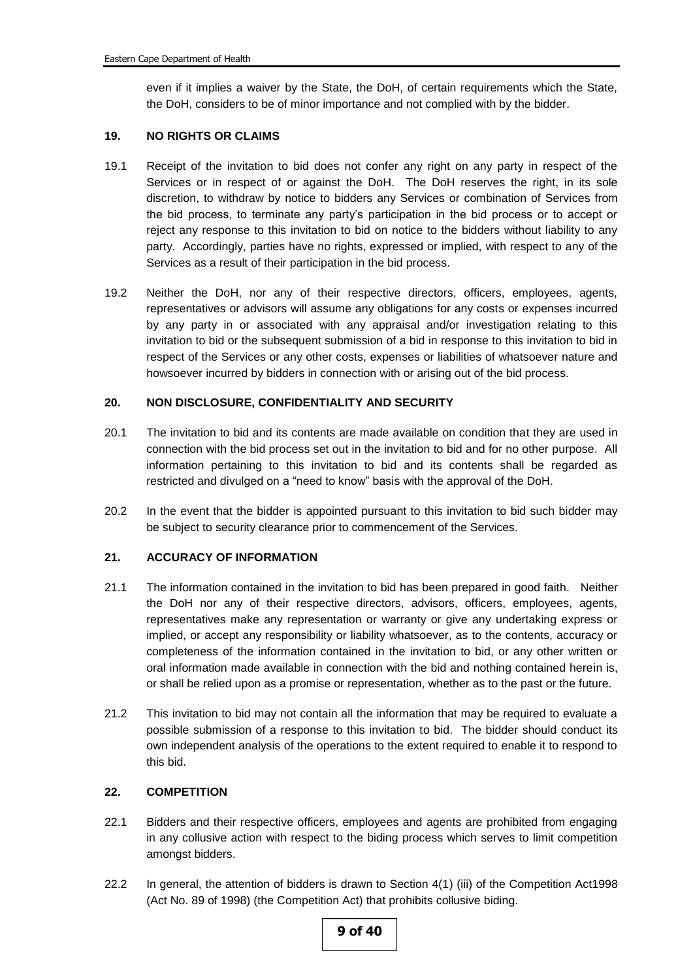even if it implies a waiver by the State, the DoH, of certain requirements which the State, the DoH, considers to be of minor importance and not complied with by the bidder.

#### **19. NO RIGHTS OR CLAIMS**

- 19.1 Receipt of the invitation to bid does not confer any right on any party in respect of the Services or in respect of or against the DoH. The DoH reserves the right, in its sole discretion, to withdraw by notice to bidders any Services or combination of Services from the bid process, to terminate any party's participation in the bid process or to accept or reject any response to this invitation to bid on notice to the bidders without liability to any party. Accordingly, parties have no rights, expressed or implied, with respect to any of the Services as a result of their participation in the bid process.
- 19.2 Neither the DoH, nor any of their respective directors, officers, employees, agents, representatives or advisors will assume any obligations for any costs or expenses incurred by any party in or associated with any appraisal and/or investigation relating to this invitation to bid or the subsequent submission of a bid in response to this invitation to bid in respect of the Services or any other costs, expenses or liabilities of whatsoever nature and howsoever incurred by bidders in connection with or arising out of the bid process.

#### **20. NON DISCLOSURE, CONFIDENTIALITY AND SECURITY**

- 20.1 The invitation to bid and its contents are made available on condition that they are used in connection with the bid process set out in the invitation to bid and for no other purpose. All information pertaining to this invitation to bid and its contents shall be regarded as restricted and divulged on a "need to know" basis with the approval of the DoH.
- 20.2 In the event that the bidder is appointed pursuant to this invitation to bid such bidder may be subject to security clearance prior to commencement of the Services.

#### **21. ACCURACY OF INFORMATION**

- 21.1 The information contained in the invitation to bid has been prepared in good faith. Neither the DoH nor any of their respective directors, advisors, officers, employees, agents, representatives make any representation or warranty or give any undertaking express or implied, or accept any responsibility or liability whatsoever, as to the contents, accuracy or completeness of the information contained in the invitation to bid, or any other written or oral information made available in connection with the bid and nothing contained herein is, or shall be relied upon as a promise or representation, whether as to the past or the future.
- 21.2 This invitation to bid may not contain all the information that may be required to evaluate a possible submission of a response to this invitation to bid. The bidder should conduct its own independent analysis of the operations to the extent required to enable it to respond to this bid.

#### **22. COMPETITION**

- 22.1 Bidders and their respective officers, employees and agents are prohibited from engaging in any collusive action with respect to the biding process which serves to limit competition amongst bidders.
- 22.2 In general, the attention of bidders is drawn to Section 4(1) (iii) of the Competition Act1998 (Act No. 89 of 1998) (the Competition Act) that prohibits collusive biding.

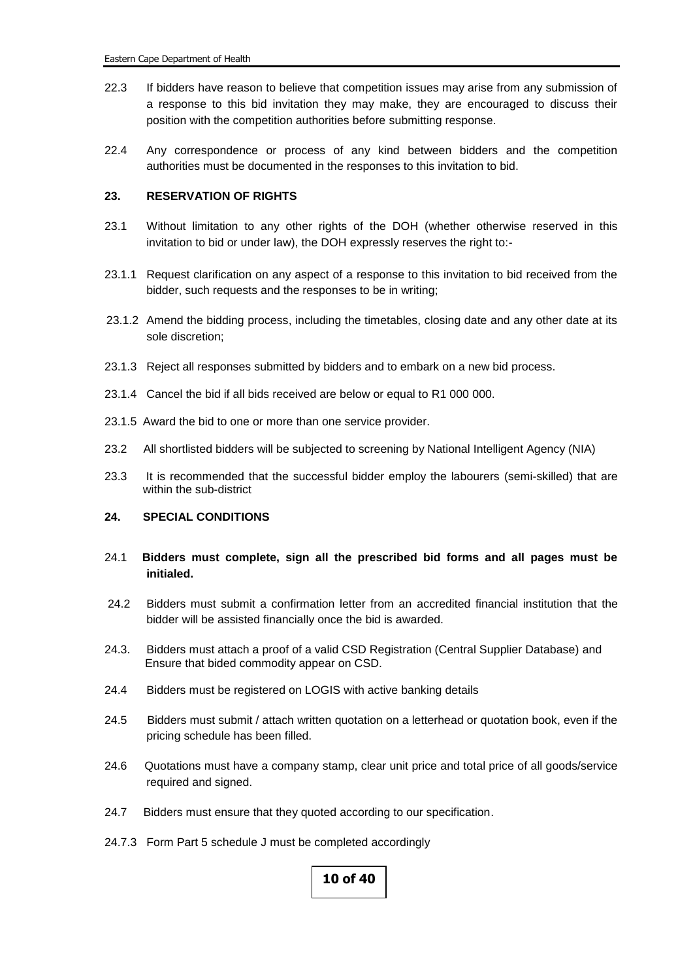- 22.3 If bidders have reason to believe that competition issues may arise from any submission of a response to this bid invitation they may make, they are encouraged to discuss their position with the competition authorities before submitting response.
- 22.4 Any correspondence or process of any kind between bidders and the competition authorities must be documented in the responses to this invitation to bid.

#### **23. RESERVATION OF RIGHTS**

- 23.1 Without limitation to any other rights of the DOH (whether otherwise reserved in this invitation to bid or under law), the DOH expressly reserves the right to:-
- 23.1.1 Request clarification on any aspect of a response to this invitation to bid received from the bidder, such requests and the responses to be in writing;
- 23.1.2 Amend the bidding process, including the timetables, closing date and any other date at its sole discretion;
- 23.1.3 Reject all responses submitted by bidders and to embark on a new bid process.
- 23.1.4 Cancel the bid if all bids received are below or equal to R1 000 000.
- 23.1.5 Award the bid to one or more than one service provider.
- 23.2 All shortlisted bidders will be subjected to screening by National Intelligent Agency (NIA)
- 23.3 It is recommended that the successful bidder employ the labourers (semi-skilled) that are within the sub-district

#### **24. SPECIAL CONDITIONS**

- 24.1 **Bidders must complete, sign all the prescribed bid forms and all pages must be initialed.**
- 24.2 Bidders must submit a confirmation letter from an accredited financial institution that the bidder will be assisted financially once the bid is awarded.
- 24.3. Bidders must attach a proof of a valid CSD Registration (Central Supplier Database) and Ensure that bided commodity appear on CSD.
- 24.4 Bidders must be registered on LOGIS with active banking details
- 24.5 Bidders must submit / attach written quotation on a letterhead or quotation book, even if the pricing schedule has been filled.
- 24.6 Quotations must have a company stamp, clear unit price and total price of all goods/service required and signed.
- 24.7 Bidders must ensure that they quoted according to our specification.
- 24.7.3 Form Part 5 schedule J must be completed accordingly

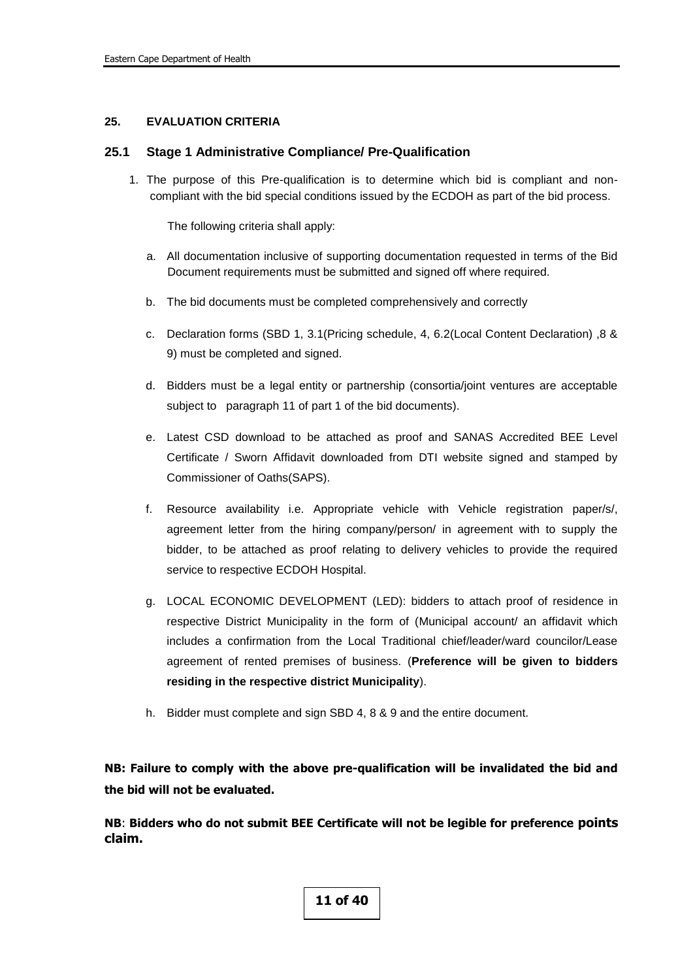#### **25. EVALUATION CRITERIA**

#### **25.1 Stage 1 Administrative Compliance/ Pre-Qualification**

1. The purpose of this Pre-qualification is to determine which bid is compliant and noncompliant with the bid special conditions issued by the ECDOH as part of the bid process.

The following criteria shall apply:

- a. All documentation inclusive of supporting documentation requested in terms of the Bid Document requirements must be submitted and signed off where required.
- b. The bid documents must be completed comprehensively and correctly
- c. Declaration forms (SBD 1, 3.1(Pricing schedule, 4, 6.2(Local Content Declaration) ,8 & 9) must be completed and signed.
- d. Bidders must be a legal entity or partnership (consortia/joint ventures are acceptable subject to paragraph 11 of part 1 of the bid documents).
- e. Latest CSD download to be attached as proof and SANAS Accredited BEE Level Certificate / Sworn Affidavit downloaded from DTI website signed and stamped by Commissioner of Oaths(SAPS).
- f. Resource availability i.e. Appropriate vehicle with Vehicle registration paper/s/, agreement letter from the hiring company/person/ in agreement with to supply the bidder, to be attached as proof relating to delivery vehicles to provide the required service to respective ECDOH Hospital.
- g. LOCAL ECONOMIC DEVELOPMENT (LED): bidders to attach proof of residence in respective District Municipality in the form of (Municipal account/ an affidavit which includes a confirmation from the Local Traditional chief/leader/ward councilor/Lease agreement of rented premises of business. (**Preference will be given to bidders residing in the respective district Municipality**).
- h. Bidder must complete and sign SBD 4, 8 & 9 and the entire document.

**NB: Failure to comply with the above pre-qualification will be invalidated the bid and the bid will not be evaluated.**

**NB**: **Bidders who do not submit BEE Certificate will not be legible for preference points claim.**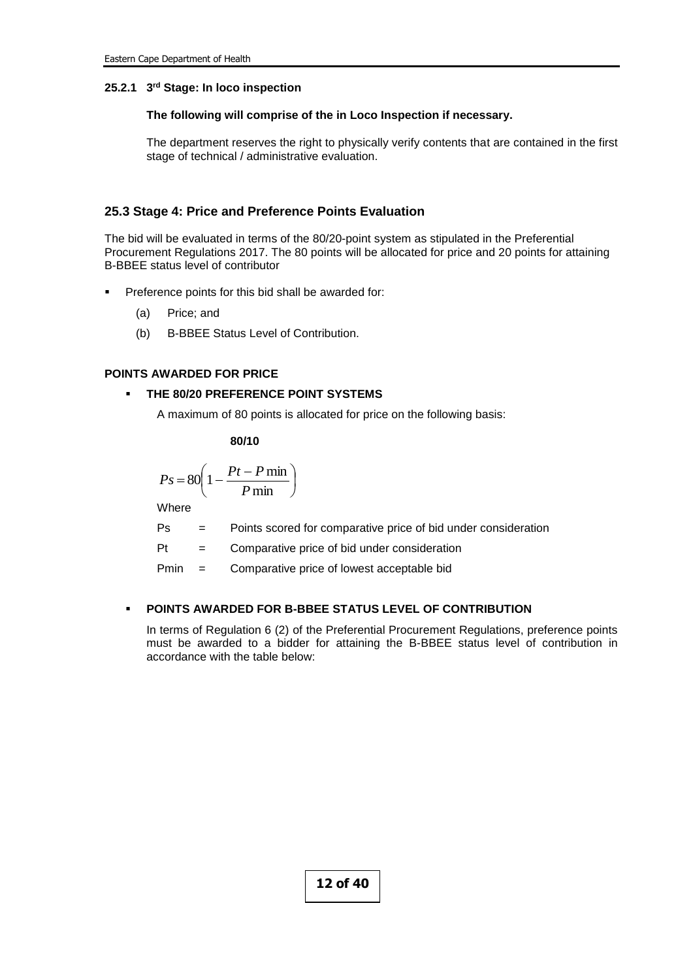#### **25.2.1 3 rd Stage: In loco inspection**

#### **The following will comprise of the in Loco Inspection if necessary.**

The department reserves the right to physically verify contents that are contained in the first stage of technical / administrative evaluation.

#### **25.3 Stage 4: Price and Preference Points Evaluation**

The bid will be evaluated in terms of the 80/20-point system as stipulated in the Preferential Procurement Regulations 2017. The 80 points will be allocated for price and 20 points for attaining B-BBEE status level of contributor

- Preference points for this bid shall be awarded for:
	- (a) Price; and
	- (b) B-BBEE Status Level of Contribution.

#### **POINTS AWARDED FOR PRICE**

### **THE 80/20 PREFERENCE POINT SYSTEMS**

A maximum of 80 points is allocated for price on the following basis:

$$
\pmb{80/10}
$$

$$
Ps = 80 \left( 1 - \frac{Pt - P \min P}{ \min} \right)
$$

**Where** 

- Ps = Points scored for comparative price of bid under consideration
- Pt = Comparative price of bid under consideration
- Pmin = Comparative price of lowest acceptable bid

#### **POINTS AWARDED FOR B-BBEE STATUS LEVEL OF CONTRIBUTION**

In terms of Regulation 6 (2) of the Preferential Procurement Regulations, preference points must be awarded to a bidder for attaining the B-BBEE status level of contribution in accordance with the table below: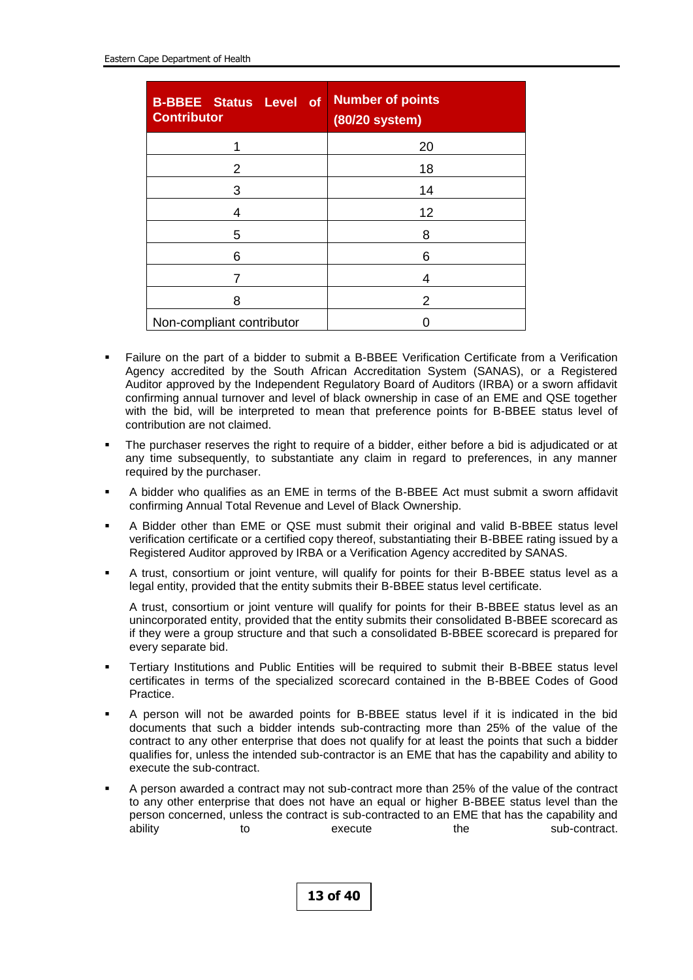| <b>B-BBEE Status Level of</b><br><b>Contributor</b> | <b>Number of points</b><br>(80/20 system) |  |  |  |  |  |  |
|-----------------------------------------------------|-------------------------------------------|--|--|--|--|--|--|
|                                                     | 20                                        |  |  |  |  |  |  |
| 2                                                   | 18                                        |  |  |  |  |  |  |
| 3                                                   | 14                                        |  |  |  |  |  |  |
| 4                                                   | 12                                        |  |  |  |  |  |  |
| 5                                                   | 8                                         |  |  |  |  |  |  |
| 6                                                   | 6                                         |  |  |  |  |  |  |
|                                                     | 4                                         |  |  |  |  |  |  |
| 8                                                   | 2                                         |  |  |  |  |  |  |
| Non-compliant contributor                           |                                           |  |  |  |  |  |  |

- Failure on the part of a bidder to submit a B-BBEE Verification Certificate from a Verification Agency accredited by the South African Accreditation System (SANAS), or a Registered Auditor approved by the Independent Regulatory Board of Auditors (IRBA) or a sworn affidavit confirming annual turnover and level of black ownership in case of an EME and QSE together with the bid, will be interpreted to mean that preference points for B-BBEE status level of contribution are not claimed.
- The purchaser reserves the right to require of a bidder, either before a bid is adjudicated or at any time subsequently, to substantiate any claim in regard to preferences, in any manner required by the purchaser.
- A bidder who qualifies as an EME in terms of the B-BBEE Act must submit a sworn affidavit confirming Annual Total Revenue and Level of Black Ownership.
- A Bidder other than EME or QSE must submit their original and valid B-BBEE status level verification certificate or a certified copy thereof, substantiating their B-BBEE rating issued by a Registered Auditor approved by IRBA or a Verification Agency accredited by SANAS.
- A trust, consortium or joint venture, will qualify for points for their B-BBEE status level as a legal entity, provided that the entity submits their B-BBEE status level certificate.

A trust, consortium or joint venture will qualify for points for their B-BBEE status level as an unincorporated entity, provided that the entity submits their consolidated B-BBEE scorecard as if they were a group structure and that such a consolidated B-BBEE scorecard is prepared for every separate bid.

- Tertiary Institutions and Public Entities will be required to submit their B-BBEE status level certificates in terms of the specialized scorecard contained in the B-BBEE Codes of Good Practice.
- A person will not be awarded points for B-BBEE status level if it is indicated in the bid documents that such a bidder intends sub-contracting more than 25% of the value of the contract to any other enterprise that does not qualify for at least the points that such a bidder qualifies for, unless the intended sub-contractor is an EME that has the capability and ability to execute the sub-contract.
- A person awarded a contract may not sub-contract more than 25% of the value of the contract to any other enterprise that does not have an equal or higher B-BBEE status level than the person concerned, unless the contract is sub-contracted to an EME that has the capability and ability to to execute the sub-contract.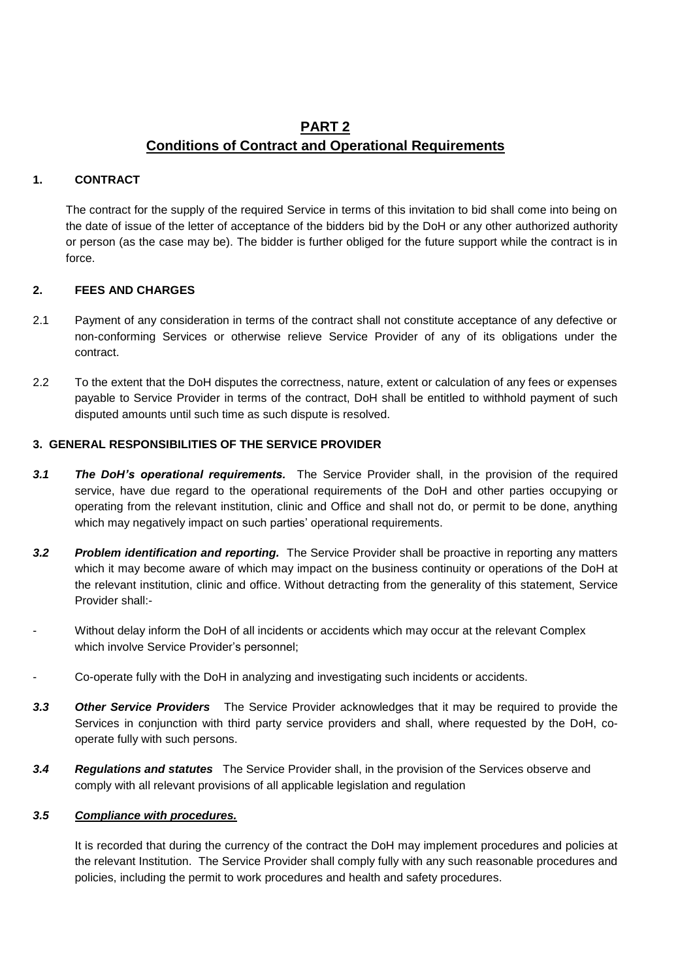# **PART 2 Conditions of Contract and Operational Requirements**

## **1. CONTRACT**

The contract for the supply of the required Service in terms of this invitation to bid shall come into being on the date of issue of the letter of acceptance of the bidders bid by the DoH or any other authorized authority or person (as the case may be). The bidder is further obliged for the future support while the contract is in force.

## **2. FEES AND CHARGES**

- 2.1 Payment of any consideration in terms of the contract shall not constitute acceptance of any defective or non-conforming Services or otherwise relieve Service Provider of any of its obligations under the contract.
- 2.2 To the extent that the DoH disputes the correctness, nature, extent or calculation of any fees or expenses payable to Service Provider in terms of the contract, DoH shall be entitled to withhold payment of such disputed amounts until such time as such dispute is resolved.

## **3. GENERAL RESPONSIBILITIES OF THE SERVICE PROVIDER**

- *3.1 The DoH's operational requirements.* The Service Provider shall, in the provision of the required service, have due regard to the operational requirements of the DoH and other parties occupying or operating from the relevant institution, clinic and Office and shall not do, or permit to be done, anything which may negatively impact on such parties' operational requirements.
- *3.2 Problem identification and reporting.* The Service Provider shall be proactive in reporting any matters which it may become aware of which may impact on the business continuity or operations of the DoH at the relevant institution, clinic and office. Without detracting from the generality of this statement, Service Provider shall:-
- Without delay inform the DoH of all incidents or accidents which may occur at the relevant Complex which involve Service Provider's personnel;
- Co-operate fully with the DoH in analyzing and investigating such incidents or accidents.
- *3.3 Other Service Providers* The Service Provider acknowledges that it may be required to provide the Services in conjunction with third party service providers and shall, where requested by the DoH, cooperate fully with such persons.
- *3.4 Regulations and statutes*The Service Provider shall, in the provision of the Services observe and comply with all relevant provisions of all applicable legislation and regulation

#### *3.5 Compliance with procedures.*

It is recorded that during the currency of the contract the DoH may implement procedures and policies at the relevant Institution. The Service Provider shall comply fully with any such reasonable procedures and policies, including the permit to work procedures and health and safety procedures.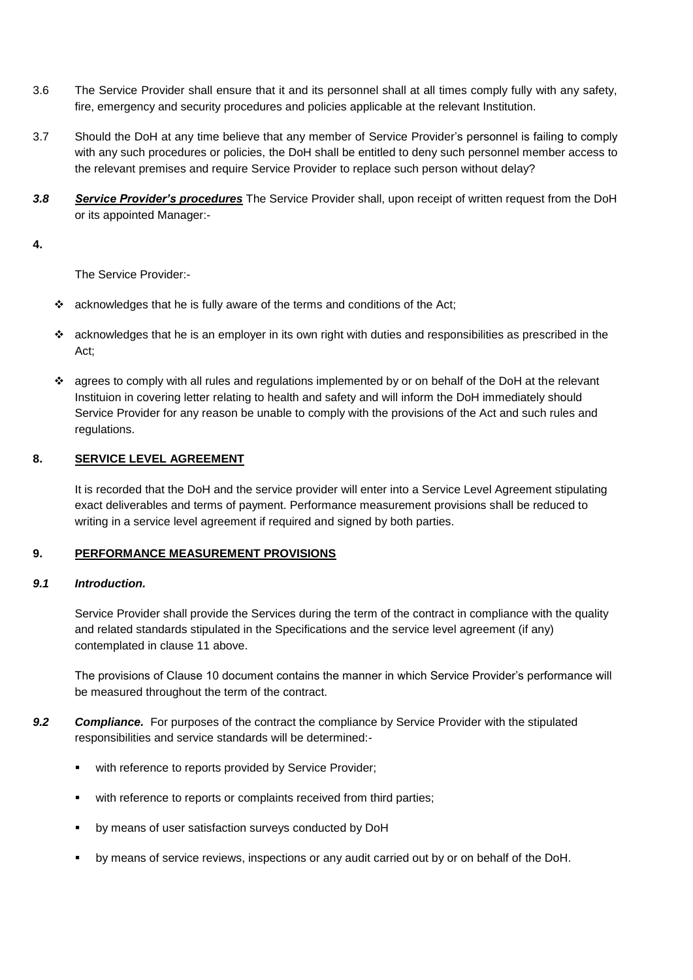- 3.6 The Service Provider shall ensure that it and its personnel shall at all times comply fully with any safety, fire, emergency and security procedures and policies applicable at the relevant Institution.
- 3.7 Should the DoH at any time believe that any member of Service Provider's personnel is failing to comply with any such procedures or policies, the DoH shall be entitled to deny such personnel member access to the relevant premises and require Service Provider to replace such person without delay?
- *3.8 Service Provider's procedures* The Service Provider shall, upon receipt of written request from the DoH or its appointed Manager:-

#### **4.**

The Service Provider:-

- $\cdot$  acknowledges that he is fully aware of the terms and conditions of the Act;
- $\cdot \cdot$  acknowledges that he is an employer in its own right with duties and responsibilities as prescribed in the Act;
- agrees to comply with all rules and regulations implemented by or on behalf of the DoH at the relevant Instituion in covering letter relating to health and safety and will inform the DoH immediately should Service Provider for any reason be unable to comply with the provisions of the Act and such rules and regulations.

## **8. SERVICE LEVEL AGREEMENT**

It is recorded that the DoH and the service provider will enter into a Service Level Agreement stipulating exact deliverables and terms of payment. Performance measurement provisions shall be reduced to writing in a service level agreement if required and signed by both parties.

#### **9. PERFORMANCE MEASUREMENT PROVISIONS**

#### *9.1 Introduction.*

Service Provider shall provide the Services during the term of the contract in compliance with the quality and related standards stipulated in the Specifications and the service level agreement (if any) contemplated in clause 11 above.

The provisions of Clause 10 document contains the manner in which Service Provider's performance will be measured throughout the term of the contract.

- *9.2 Compliance.* For purposes of the contract the compliance by Service Provider with the stipulated responsibilities and service standards will be determined:-
	- **\*** with reference to reports provided by Service Provider;
	- with reference to reports or complaints received from third parties;
	- by means of user satisfaction surveys conducted by DoH
	- by means of service reviews, inspections or any audit carried out by or on behalf of the DoH.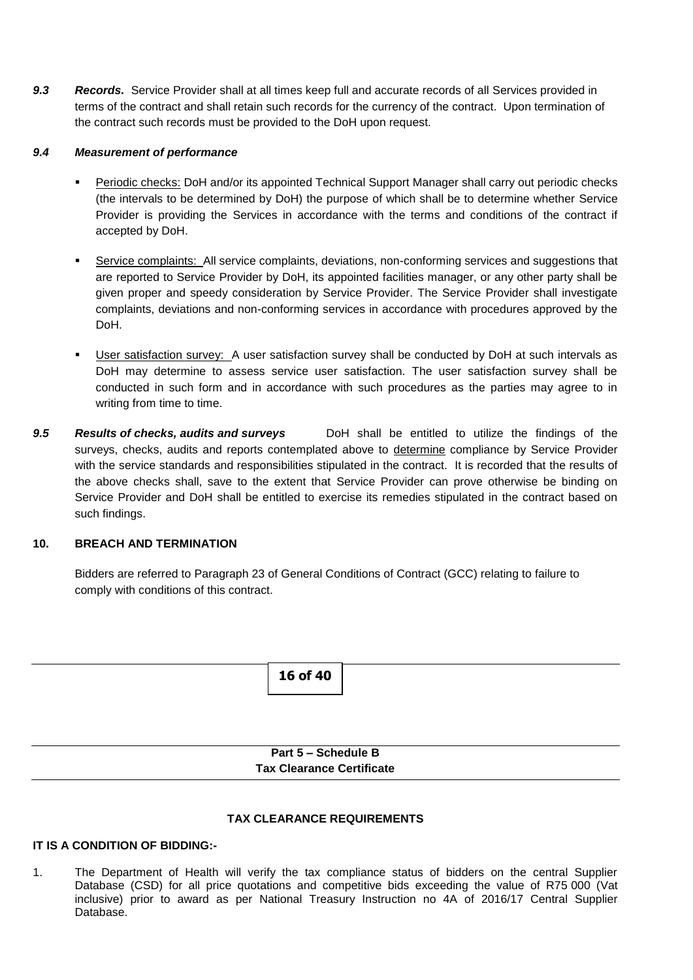*9.3 Records.* Service Provider shall at all times keep full and accurate records of all Services provided in terms of the contract and shall retain such records for the currency of the contract. Upon termination of the contract such records must be provided to the DoH upon request.

## *9.4 Measurement of performance*

- Periodic checks: DoH and/or its appointed Technical Support Manager shall carry out periodic checks (the intervals to be determined by DoH) the purpose of which shall be to determine whether Service Provider is providing the Services in accordance with the terms and conditions of the contract if accepted by DoH.
- Service complaints: All service complaints, deviations, non-conforming services and suggestions that are reported to Service Provider by DoH, its appointed facilities manager, or any other party shall be given proper and speedy consideration by Service Provider. The Service Provider shall investigate complaints, deviations and non-conforming services in accordance with procedures approved by the DoH.
- User satisfaction survey: A user satisfaction survey shall be conducted by DoH at such intervals as DoH may determine to assess service user satisfaction. The user satisfaction survey shall be conducted in such form and in accordance with such procedures as the parties may agree to in writing from time to time.
- 9.5 **Results of checks, audits and surveys** DoH shall be entitled to utilize the findings of the surveys, checks, audits and reports contemplated above to determine compliance by Service Provider with the service standards and responsibilities stipulated in the contract. It is recorded that the results of the above checks shall, save to the extent that Service Provider can prove otherwise be binding on Service Provider and DoH shall be entitled to exercise its remedies stipulated in the contract based on such findings.

## **10. BREACH AND TERMINATION**

Bidders are referred to Paragraph 23 of General Conditions of Contract (GCC) relating to failure to comply with conditions of this contract.



## **TAX CLEARANCE REQUIREMENTS**

## **IT IS A CONDITION OF BIDDING:-**

1. The Department of Health will verify the tax compliance status of bidders on the central Supplier Database (CSD) for all price quotations and competitive bids exceeding the value of R75 000 (Vat inclusive) prior to award as per National Treasury Instruction no 4A of 2016/17 Central Supplier Database.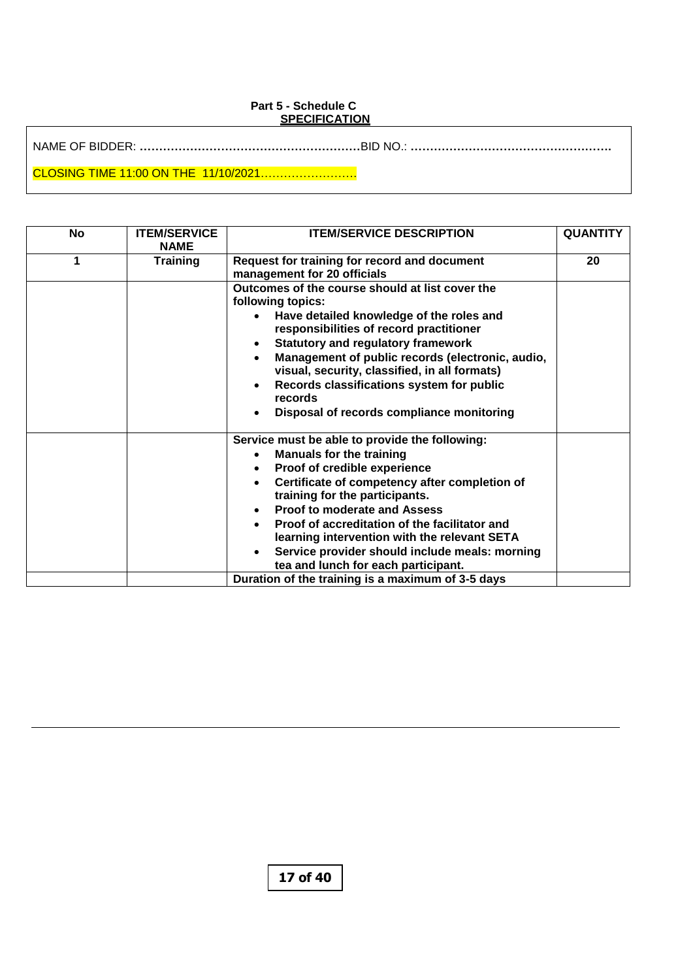#### **Part 5 - Schedule C SPECIFICATION**

| No | <b>ITEM/SERVICE</b><br><b>NAME</b> | <b>ITEM/SERVICE DESCRIPTION</b>                                                                                                                                                                                                                                                                                                                                                                                                                                                                                     | <b>QUANTITY</b> |
|----|------------------------------------|---------------------------------------------------------------------------------------------------------------------------------------------------------------------------------------------------------------------------------------------------------------------------------------------------------------------------------------------------------------------------------------------------------------------------------------------------------------------------------------------------------------------|-----------------|
| 1  | <b>Training</b>                    | Request for training for record and document<br>management for 20 officials                                                                                                                                                                                                                                                                                                                                                                                                                                         | 20              |
|    |                                    | Outcomes of the course should at list cover the<br>following topics:<br>Have detailed knowledge of the roles and<br>responsibilities of record practitioner<br><b>Statutory and regulatory framework</b><br>$\bullet$<br>Management of public records (electronic, audio,<br>$\bullet$<br>visual, security, classified, in all formats)<br>Records classifications system for public<br>$\bullet$<br>records<br>Disposal of records compliance monitoring<br>$\bullet$                                              |                 |
|    |                                    | Service must be able to provide the following:<br><b>Manuals for the training</b><br>$\bullet$<br>Proof of credible experience<br>$\bullet$<br>Certificate of competency after completion of<br>$\bullet$<br>training for the participants.<br><b>Proof to moderate and Assess</b><br>$\bullet$<br>Proof of accreditation of the facilitator and<br>$\bullet$<br>learning intervention with the relevant SETA<br>Service provider should include meals: morning<br>$\bullet$<br>tea and lunch for each participant. |                 |
|    |                                    | Duration of the training is a maximum of 3-5 days                                                                                                                                                                                                                                                                                                                                                                                                                                                                   |                 |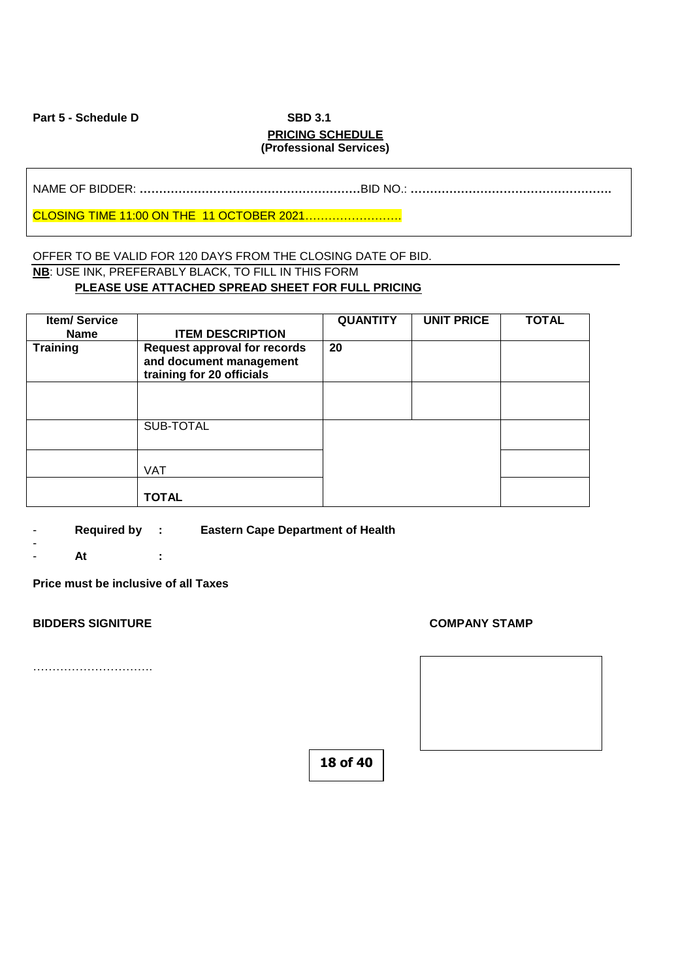Part 5 - Schedule D<br>
SBD 3.1

# **PRICING SCHEDULE (Professional Services)**

NAME OF BIDDER: **…………………………………………………**BID NO.: **…………………………………………….**

CLOSING TIME 11:00 ON THE 11 OCTOBER 2021…………………….

## OFFER TO BE VALID FOR 120 DAYS FROM THE CLOSING DATE OF BID. **NB**: USE INK, PREFERABLY BLACK, TO FILL IN THIS FORM **PLEASE USE ATTACHED SPREAD SHEET FOR FULL PRICING**

| <b>Item/Service</b><br><b>Name</b> | <b>ITEM DESCRIPTION</b>                                                                     | <b>QUANTITY</b> | <b>UNIT PRICE</b> | <b>TOTAL</b> |
|------------------------------------|---------------------------------------------------------------------------------------------|-----------------|-------------------|--------------|
| <b>Training</b>                    | <b>Request approval for records</b><br>and document management<br>training for 20 officials | 20              |                   |              |
|                                    |                                                                                             |                 |                   |              |
|                                    | SUB-TOTAL                                                                                   |                 |                   |              |
|                                    | <b>VAT</b>                                                                                  |                 |                   |              |
|                                    | <b>TOTAL</b>                                                                                |                 |                   |              |

- **Required by : Eastern Cape Department of Health**
- - **At :**

**Price must be inclusive of all Taxes**

#### **BIDDERS SIGNITURE COMPANY STAMP**

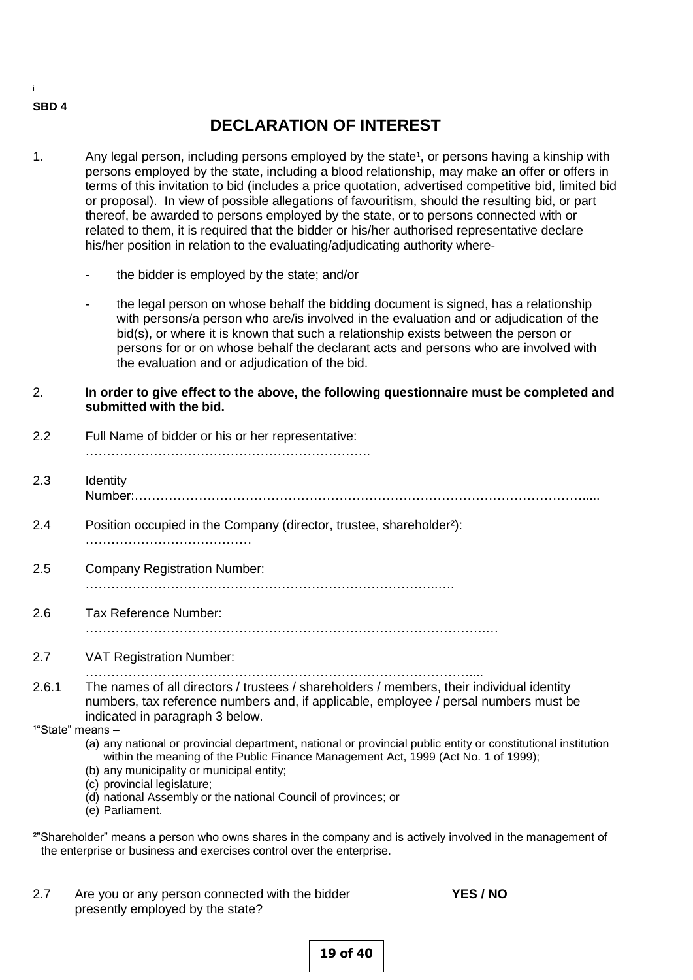#### **SBD 4**

i

# **DECLARATION OF INTEREST**

- 1. Any legal person, including persons employed by the state<sup>1</sup>, or persons having a kinship with persons employed by the state, including a blood relationship, may make an offer or offers in terms of this invitation to bid (includes a price quotation, advertised competitive bid, limited bid or proposal). In view of possible allegations of favouritism, should the resulting bid, or part thereof, be awarded to persons employed by the state, or to persons connected with or related to them, it is required that the bidder or his/her authorised representative declare his/her position in relation to the evaluating/adjudicating authority where
	- the bidder is employed by the state; and/or
	- the legal person on whose behalf the bidding document is signed, has a relationship with persons/a person who are/is involved in the evaluation and or adjudication of the bid(s), or where it is known that such a relationship exists between the person or persons for or on whose behalf the declarant acts and persons who are involved with the evaluation and or adjudication of the bid.
- 2. **In order to give effect to the above, the following questionnaire must be completed and submitted with the bid.**
- 2.2 Full Name of bidder or his or her representative: …………………………………………………………. 2.3 Identity Number:……………………………………………………………………………………………..... 2.4 Position occupied in the Company (director, trustee, shareholder²): ………………………………… 2.5 Company Registration Number: ………………………………………………………………………..…. 2.6 Tax Reference Number: ………………………………………………………………………………….… 2.7 VAT Registration Number: ……………………………………………………………………………….... 2.6.1 The names of all directors / trustees / shareholders / members, their individual identity numbers, tax reference numbers and, if applicable, employee / persal numbers must be indicated in paragraph 3 below.  $1^{\circ}$ State" means  $-$  (a) any national or provincial department, national or provincial public entity or constitutional institution within the meaning of the Public Finance Management Act, 1999 (Act No. 1 of 1999); (b) any municipality or municipal entity; (c) provincial legislature; (d) national Assembly or the national Council of provinces; or (e) Parliament. <sup>2"</sup>Shareholder" means a person who owns shares in the company and is actively involved in the management of
- 2.7 Are you or any person connected with the bidder **YES / NO**

the enterprise or business and exercises control over the enterprise.

presently employed by the state?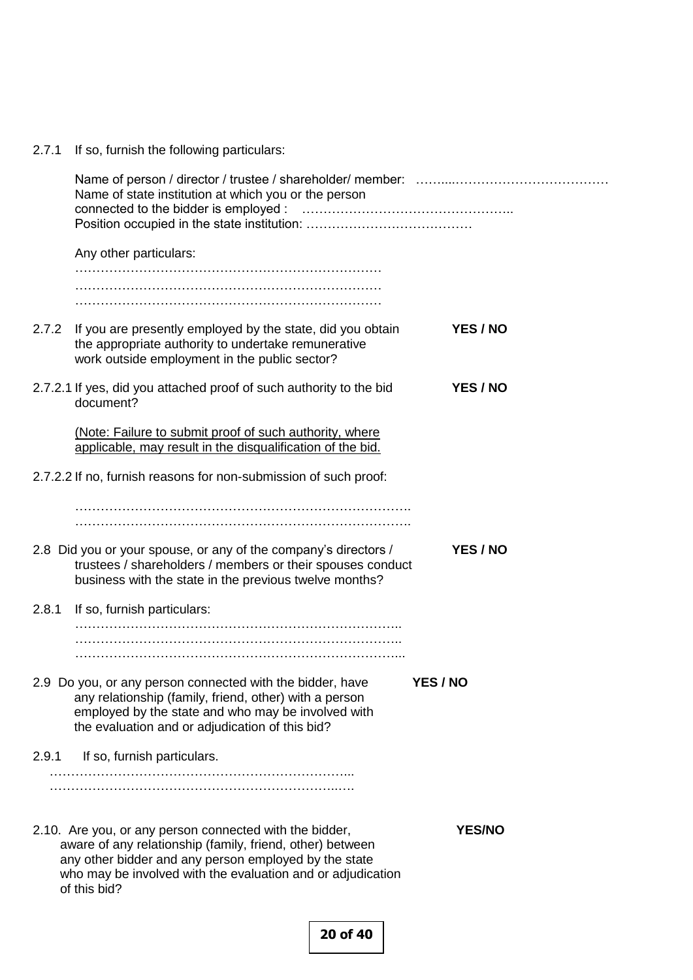|  |  |  |  |  | 2.7.1 If so, furnish the following particulars: |
|--|--|--|--|--|-------------------------------------------------|
|--|--|--|--|--|-------------------------------------------------|

|       | Name of state institution at which you or the person                                                                                                                                                                                                         |               |
|-------|--------------------------------------------------------------------------------------------------------------------------------------------------------------------------------------------------------------------------------------------------------------|---------------|
|       | Any other particulars:                                                                                                                                                                                                                                       |               |
|       |                                                                                                                                                                                                                                                              |               |
|       |                                                                                                                                                                                                                                                              |               |
|       |                                                                                                                                                                                                                                                              |               |
| 2.7.2 | If you are presently employed by the state, did you obtain<br>the appropriate authority to undertake remunerative<br>work outside employment in the public sector?                                                                                           | YES / NO      |
|       | 2.7.2.1 If yes, did you attached proof of such authority to the bid<br>document?                                                                                                                                                                             | YES / NO      |
|       | (Note: Failure to submit proof of such authority, where<br>applicable, may result in the disqualification of the bid.                                                                                                                                        |               |
|       | 2.7.2.2 If no, furnish reasons for non-submission of such proof:                                                                                                                                                                                             |               |
|       |                                                                                                                                                                                                                                                              |               |
|       |                                                                                                                                                                                                                                                              |               |
|       | 2.8 Did you or your spouse, or any of the company's directors /<br>trustees / shareholders / members or their spouses conduct<br>business with the state in the previous twelve months?                                                                      | YES / NO      |
| 2.8.1 | If so, furnish particulars:                                                                                                                                                                                                                                  |               |
|       |                                                                                                                                                                                                                                                              |               |
|       | 2.9 Do you, or any person connected with the bidder, have<br>any relationship (family, friend, other) with a person<br>employed by the state and who may be involved with<br>the evaluation and or adjudication of this bid?                                 | YES / NO      |
| 2.9.1 | If so, furnish particulars.                                                                                                                                                                                                                                  |               |
|       | 2.10. Are you, or any person connected with the bidder,<br>aware of any relationship (family, friend, other) between<br>any other bidder and any person employed by the state<br>who may be involved with the evaluation and or adjudication<br>of this bid? | <b>YES/NO</b> |
|       |                                                                                                                                                                                                                                                              |               |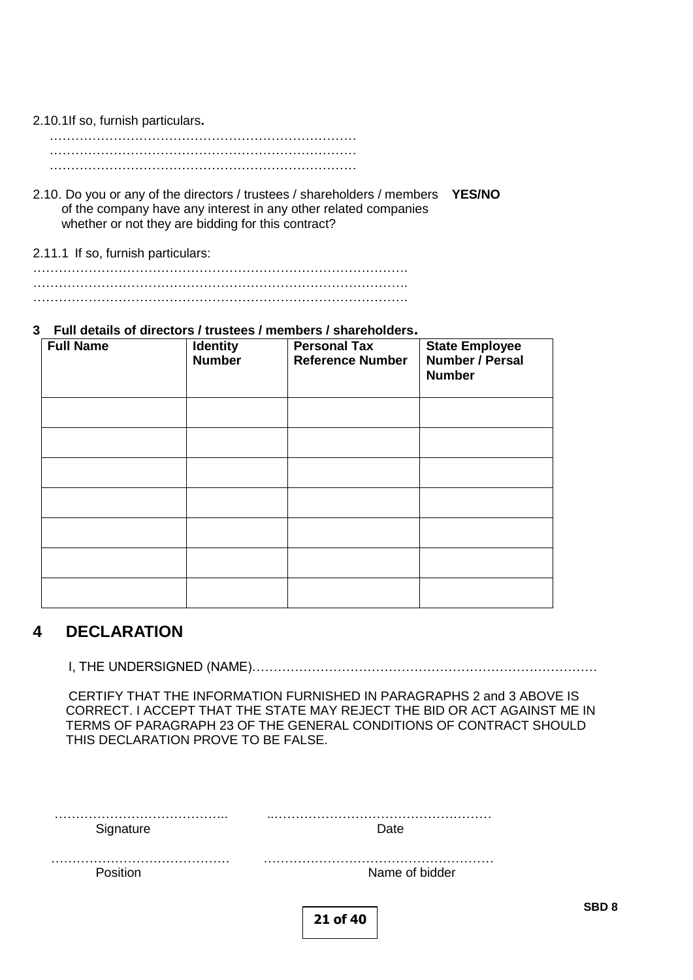## 2.10.1If so, furnish particulars**.**

……………………………………………………………… ……………………………………………………………… ………………………………………………………………

- 2.10. Do you or any of the directors / trustees / shareholders / members **YES/NO** of the company have any interest in any other related companies whether or not they are bidding for this contract?
- 2.11.1 If so, furnish particulars:

……………………………………………………………………………. ……………………………………………………………………………. …………………………………………………………………………….

## **3 Full details of directors / trustees / members / shareholders.**

| <b>Full Name</b> | <b>Identity</b><br><b>Number</b> | <b>Personal Tax</b><br><b>Reference Number</b> | <b>State Employee</b><br>Number / Persal<br><b>Number</b> |  |  |  |  |
|------------------|----------------------------------|------------------------------------------------|-----------------------------------------------------------|--|--|--|--|
|                  |                                  |                                                |                                                           |  |  |  |  |
|                  |                                  |                                                |                                                           |  |  |  |  |
|                  |                                  |                                                |                                                           |  |  |  |  |
|                  |                                  |                                                |                                                           |  |  |  |  |
|                  |                                  |                                                |                                                           |  |  |  |  |
|                  |                                  |                                                |                                                           |  |  |  |  |
|                  |                                  |                                                |                                                           |  |  |  |  |

# **4 DECLARATION**

I, THE UNDERSIGNED (NAME)………………………………………………………………………

 CERTIFY THAT THE INFORMATION FURNISHED IN PARAGRAPHS 2 and 3 ABOVE IS CORRECT. I ACCEPT THAT THE STATE MAY REJECT THE BID OR ACT AGAINST ME IN TERMS OF PARAGRAPH 23 OF THE GENERAL CONDITIONS OF CONTRACT SHOULD THIS DECLARATION PROVE TO BE FALSE.

| Signature | Date           |  |
|-----------|----------------|--|
|           | .              |  |
| .         | .              |  |
| Position  | Name of bidder |  |
|           | 21 of 40       |  |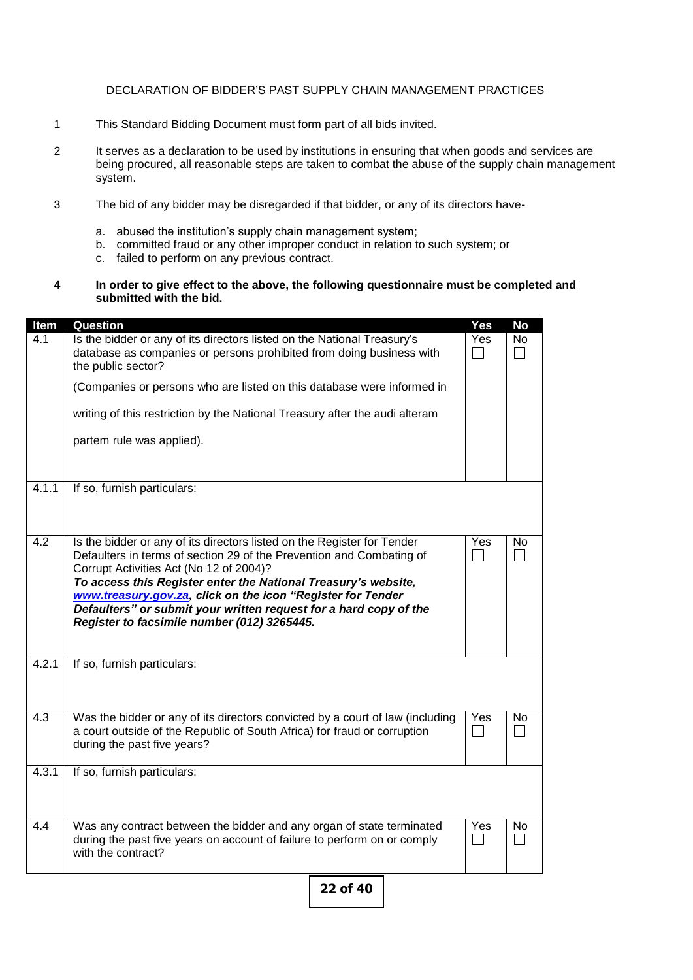#### DECLARATION OF BIDDER'S PAST SUPPLY CHAIN MANAGEMENT PRACTICES

- 1 This Standard Bidding Document must form part of all bids invited.
- 2 It serves as a declaration to be used by institutions in ensuring that when goods and services are being procured, all reasonable steps are taken to combat the abuse of the supply chain management system.
- 3 The bid of any bidder may be disregarded if that bidder, or any of its directors have
	- a. abused the institution's supply chain management system;
	- b. committed fraud or any other improper conduct in relation to such system; or
	- c. failed to perform on any previous contract.
- **4 In order to give effect to the above, the following questionnaire must be completed and submitted with the bid.**

| Item  | Question                                                                                                                                                                                                                                                                                                                                                                                                                                        | Yes           | <b>No</b> |
|-------|-------------------------------------------------------------------------------------------------------------------------------------------------------------------------------------------------------------------------------------------------------------------------------------------------------------------------------------------------------------------------------------------------------------------------------------------------|---------------|-----------|
| 4.1   | Is the bidder or any of its directors listed on the National Treasury's<br>database as companies or persons prohibited from doing business with<br>the public sector?                                                                                                                                                                                                                                                                           | Yes           | No        |
|       | (Companies or persons who are listed on this database were informed in                                                                                                                                                                                                                                                                                                                                                                          |               |           |
|       | writing of this restriction by the National Treasury after the audi alteram                                                                                                                                                                                                                                                                                                                                                                     |               |           |
|       | partem rule was applied).                                                                                                                                                                                                                                                                                                                                                                                                                       |               |           |
| 4.1.1 | If so, furnish particulars:                                                                                                                                                                                                                                                                                                                                                                                                                     |               |           |
| 4.2   | Is the bidder or any of its directors listed on the Register for Tender<br>Defaulters in terms of section 29 of the Prevention and Combating of<br>Corrupt Activities Act (No 12 of 2004)?<br>To access this Register enter the National Treasury's website,<br>www.treasury.gov.za, click on the icon "Register for Tender<br>Defaulters" or submit your written request for a hard copy of the<br>Register to facsimile number (012) 3265445. | Yes           | No.       |
| 4.2.1 | If so, furnish particulars:                                                                                                                                                                                                                                                                                                                                                                                                                     |               |           |
| 4.3   | Was the bidder or any of its directors convicted by a court of law (including<br>a court outside of the Republic of South Africa) for fraud or corruption<br>during the past five years?                                                                                                                                                                                                                                                        | Yes<br>$\sim$ | No        |
| 4.3.1 | If so, furnish particulars:                                                                                                                                                                                                                                                                                                                                                                                                                     |               |           |
| 4.4   | Was any contract between the bidder and any organ of state terminated<br>during the past five years on account of failure to perform on or comply<br>with the contract?                                                                                                                                                                                                                                                                         | Yes           | No.       |
|       |                                                                                                                                                                                                                                                                                                                                                                                                                                                 |               |           |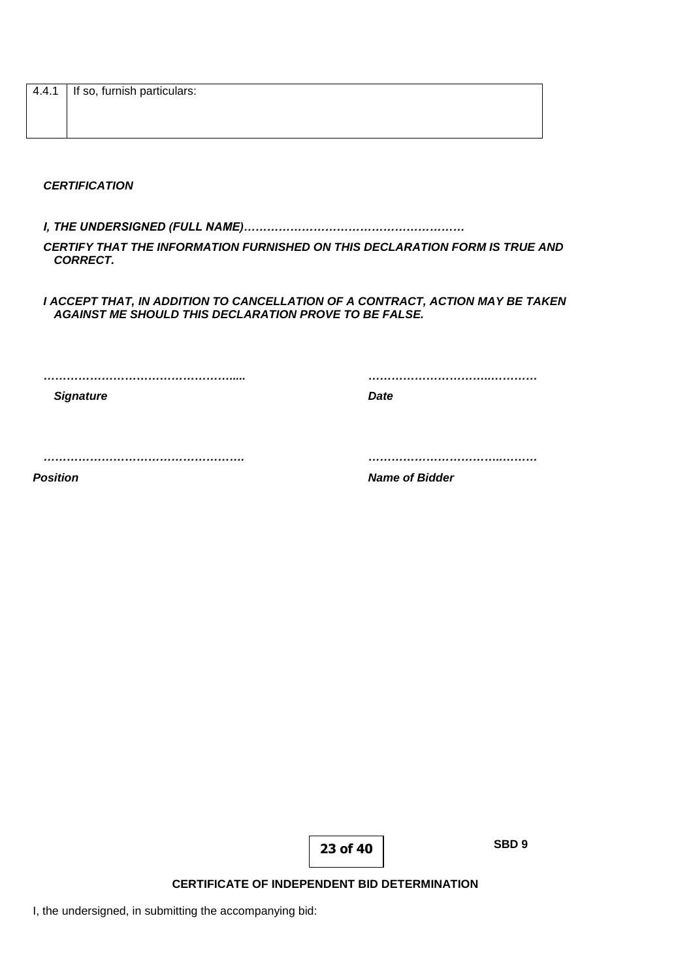| 4.4.1 If so, furnish particulars: |
|-----------------------------------|
|                                   |
|                                   |

*CERTIFICATION*

*I, THE UNDERSIGNED (FULL NAME)…………………………………………………*

*CERTIFY THAT THE INFORMATION FURNISHED ON THIS DECLARATION FORM IS TRUE AND CORRECT.*

*I ACCEPT THAT, IN ADDITION TO CANCELLATION OF A CONTRACT, ACTION MAY BE TAKEN AGAINST ME SHOULD THIS DECLARATION PROVE TO BE FALSE.*

*…………………………………………..... …………………………..…………* **Signature Date** 

*……………………………………………. ……………………………..………*

*Position Name of Bidder*

**23 of 40**

**SBD 9**

**CERTIFICATE OF INDEPENDENT BID DETERMINATION**

I, the undersigned, in submitting the accompanying bid: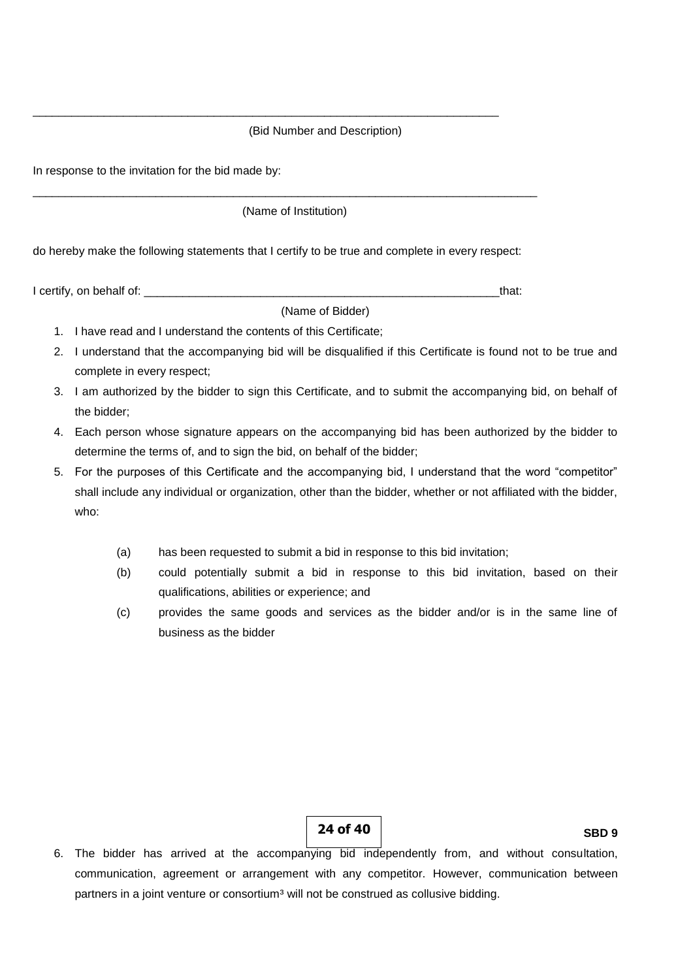#### (Bid Number and Description)

In response to the invitation for the bid made by:

(Name of Institution)

\_\_\_\_\_\_\_\_\_\_\_\_\_\_\_\_\_\_\_\_\_\_\_\_\_\_\_\_\_\_\_\_\_\_\_\_\_\_\_\_\_\_\_\_\_\_\_\_\_\_\_\_\_\_\_\_\_\_\_\_\_\_\_\_\_\_\_\_\_\_\_\_\_\_\_\_\_\_

do hereby make the following statements that I certify to be true and complete in every respect:

\_\_\_\_\_\_\_\_\_\_\_\_\_\_\_\_\_\_\_\_\_\_\_\_\_\_\_\_\_\_\_\_\_\_\_\_\_\_\_\_\_\_\_\_\_\_\_\_\_\_\_\_\_\_\_\_\_\_\_\_\_\_\_\_\_\_\_\_\_\_\_\_

I certify, on behalf of: \_\_\_\_\_\_\_\_\_\_\_\_\_\_\_\_\_\_\_\_\_\_\_\_\_\_\_\_\_\_\_\_\_\_\_\_\_\_\_\_\_\_\_\_\_\_\_\_\_\_\_\_\_\_\_that:

## (Name of Bidder)

- 1. I have read and I understand the contents of this Certificate;
- 2. I understand that the accompanying bid will be disqualified if this Certificate is found not to be true and complete in every respect;
- 3. I am authorized by the bidder to sign this Certificate, and to submit the accompanying bid, on behalf of the bidder;
- 4. Each person whose signature appears on the accompanying bid has been authorized by the bidder to determine the terms of, and to sign the bid, on behalf of the bidder;
- 5. For the purposes of this Certificate and the accompanying bid, I understand that the word "competitor" shall include any individual or organization, other than the bidder, whether or not affiliated with the bidder, who:
	- (a) has been requested to submit a bid in response to this bid invitation;
	- (b) could potentially submit a bid in response to this bid invitation, based on their qualifications, abilities or experience; and
	- (c) provides the same goods and services as the bidder and/or is in the same line of business as the bidder

**24 of 40**

**SBD 9**

6. The bidder has arrived at the accompanying bid independently from, and without consultation, communication, agreement or arrangement with any competitor. However, communication between partners in a joint venture or consortium<sup>3</sup> will not be construed as collusive bidding.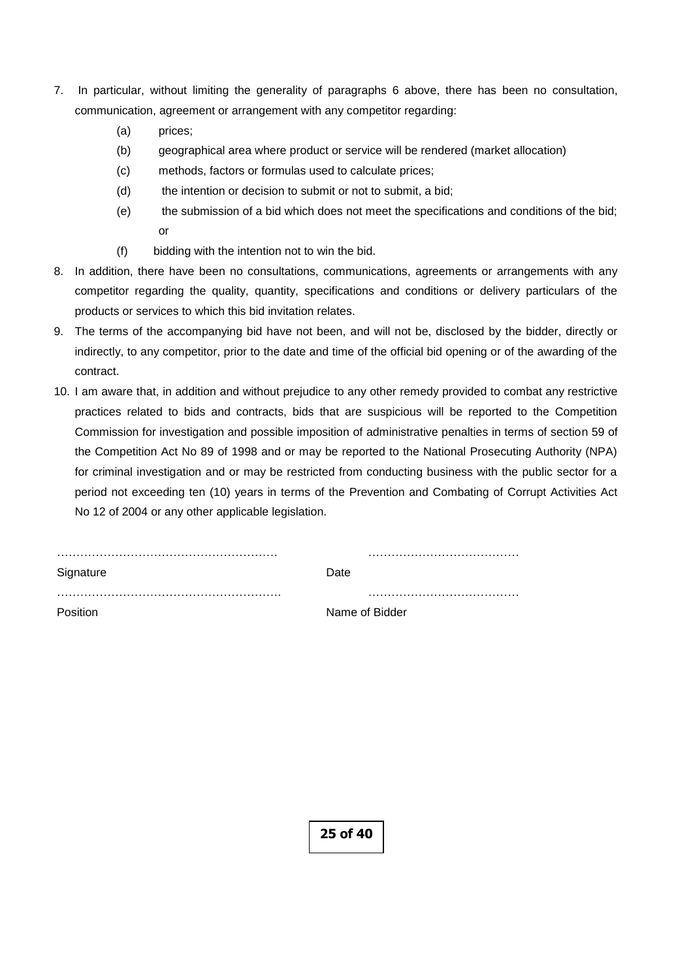- 7. In particular, without limiting the generality of paragraphs 6 above, there has been no consultation, communication, agreement or arrangement with any competitor regarding:
	- (a) prices;
	- (b) geographical area where product or service will be rendered (market allocation)
	- (c) methods, factors or formulas used to calculate prices;
	- (d) the intention or decision to submit or not to submit, a bid;
	- (e) the submission of a bid which does not meet the specifications and conditions of the bid; or
	- (f) bidding with the intention not to win the bid.
- 8. In addition, there have been no consultations, communications, agreements or arrangements with any competitor regarding the quality, quantity, specifications and conditions or delivery particulars of the products or services to which this bid invitation relates.
- 9. The terms of the accompanying bid have not been, and will not be, disclosed by the bidder, directly or indirectly, to any competitor, prior to the date and time of the official bid opening or of the awarding of the contract.
- 10. I am aware that, in addition and without prejudice to any other remedy provided to combat any restrictive practices related to bids and contracts, bids that are suspicious will be reported to the Competition Commission for investigation and possible imposition of administrative penalties in terms of section 59 of the Competition Act No 89 of 1998 and or may be reported to the National Prosecuting Authority (NPA) for criminal investigation and or may be restricted from conducting business with the public sector for a period not exceeding ten (10) years in terms of the Prevention and Combating of Corrupt Activities Act No 12 of 2004 or any other applicable legislation.

| Signature | Date           |
|-----------|----------------|
|           |                |
| Position  | Name of Bidder |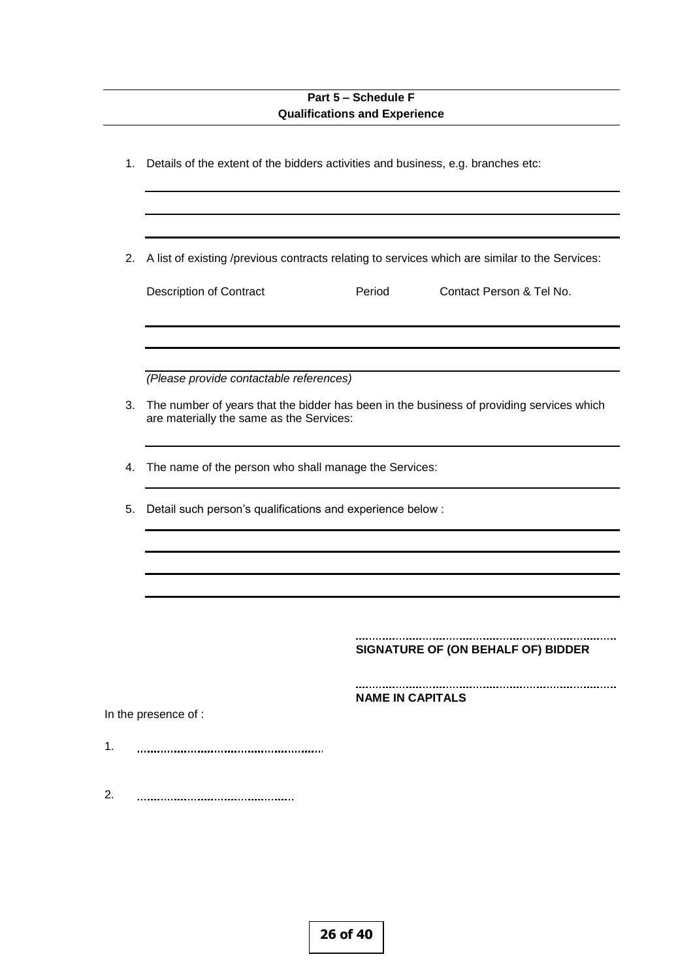# **Part 5 – Schedule F Qualifications and Experience**

| 1. | Details of the extent of the bidders activities and business, e.g. branches etc:                                                     |  |  |
|----|--------------------------------------------------------------------------------------------------------------------------------------|--|--|
| 2. | A list of existing /previous contracts relating to services which are similar to the Services:                                       |  |  |
|    | <b>Description of Contract</b><br>Period<br>Contact Person & Tel No.                                                                 |  |  |
|    | (Please provide contactable references)                                                                                              |  |  |
| 3. | The number of years that the bidder has been in the business of providing services which<br>are materially the same as the Services: |  |  |
| 4. | The name of the person who shall manage the Services:                                                                                |  |  |
| 5. | Detail such person's qualifications and experience below :                                                                           |  |  |
|    |                                                                                                                                      |  |  |
|    | SIGNATURE OF (ON BEHALF OF) BIDDER                                                                                                   |  |  |
|    | <b>NAME IN CAPITALS</b><br>In the presence of :                                                                                      |  |  |
|    |                                                                                                                                      |  |  |
|    |                                                                                                                                      |  |  |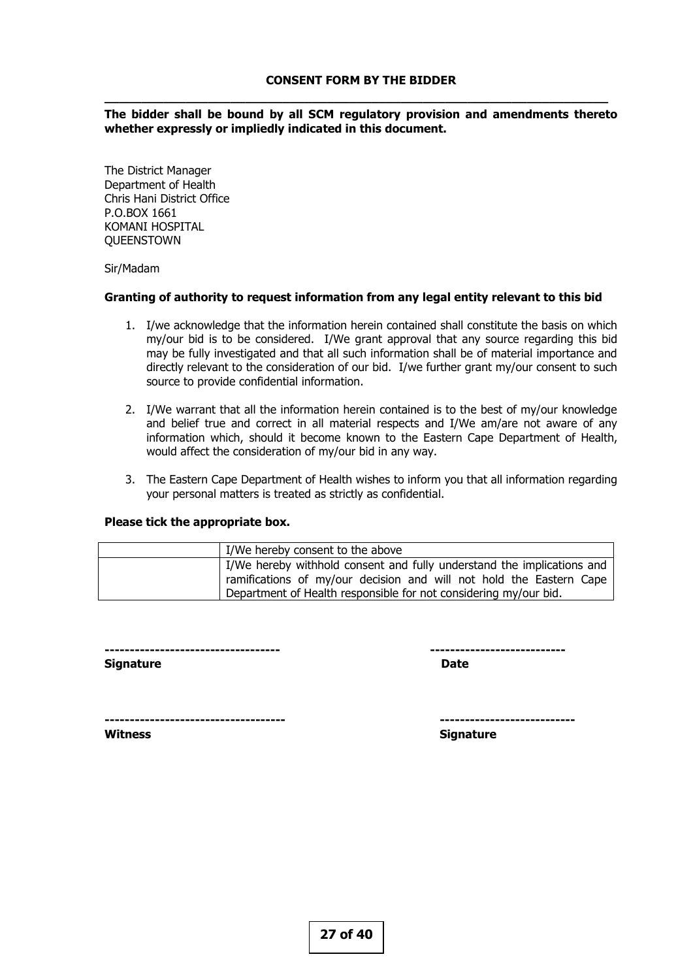**\_\_\_\_\_\_\_\_\_\_\_\_\_\_\_\_\_\_\_\_\_\_\_\_\_\_\_\_\_\_\_\_\_\_\_\_\_\_\_\_\_\_\_\_\_\_\_\_\_\_\_\_\_\_\_\_\_\_\_\_\_\_\_\_\_\_\_\_**

#### **The bidder shall be bound by all SCM regulatory provision and amendments thereto whether expressly or impliedly indicated in this document.**

The District Manager Department of Health Chris Hani District Office P.O.BOX 1661 KOMANI HOSPITAL **QUEENSTOWN** 

#### Sir/Madam

#### **Granting of authority to request information from any legal entity relevant to this bid**

- 1. I/we acknowledge that the information herein contained shall constitute the basis on which my/our bid is to be considered. I/We grant approval that any source regarding this bid may be fully investigated and that all such information shall be of material importance and directly relevant to the consideration of our bid. I/we further grant my/our consent to such source to provide confidential information.
- 2. I/We warrant that all the information herein contained is to the best of my/our knowledge and belief true and correct in all material respects and I/We am/are not aware of any information which, should it become known to the Eastern Cape Department of Health, would affect the consideration of my/our bid in any way.
- 3. The Eastern Cape Department of Health wishes to inform you that all information regarding your personal matters is treated as strictly as confidential.

#### **Please tick the appropriate box.**

| I/We hereby consent to the above                                       |
|------------------------------------------------------------------------|
| I/We hereby withhold consent and fully understand the implications and |
| ramifications of my/our decision and will not hold the Eastern Cape    |
| Department of Health responsible for not considering my/our bid.       |

**----------------------------------- ---------------------------**

**Signature Date** 

**------------------------------------ ---------------------------**

**Witness** Signature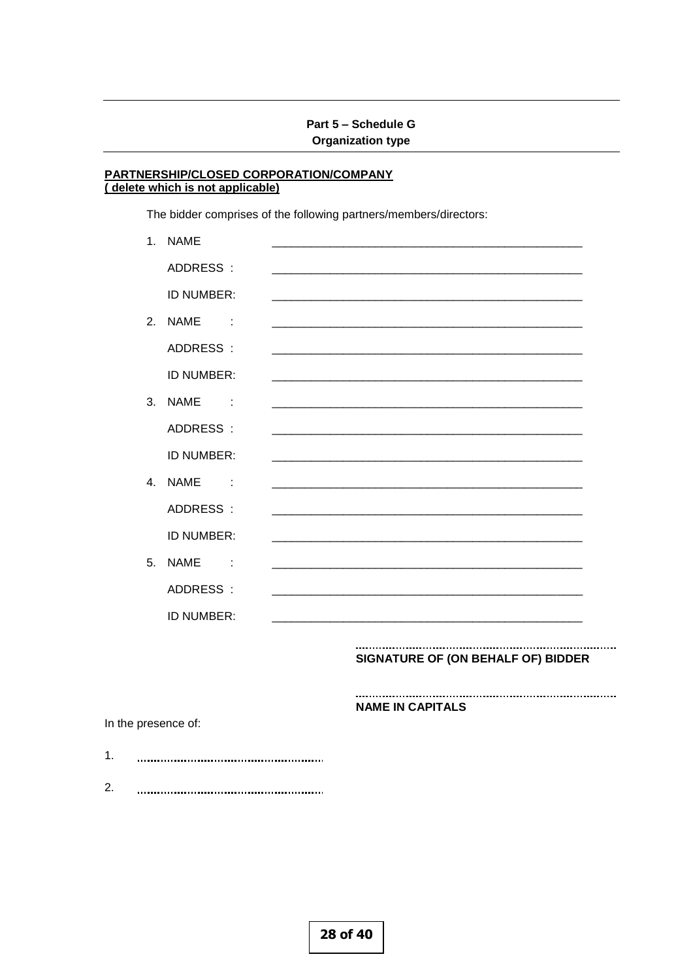# Part 5 - Schedule G **Organization type**

#### PARTNERSHIP/CLOSED CORPORATION/COMPANY (delete which is not applicable)

The bidder comprises of the following partners/members/directors:

| 1.             | <b>NAME</b>                         |                                    |
|----------------|-------------------------------------|------------------------------------|
|                | ADDRESS:                            |                                    |
|                | ID NUMBER:                          |                                    |
| 2.             | <b>NAME</b><br>$\sim$ $\sim$ $\sim$ |                                    |
|                | ADDRESS:                            |                                    |
|                | ID NUMBER:                          |                                    |
| 3.             | <b>NAME</b><br>$\sim$ 100 $\pm$     |                                    |
|                | ADDRESS:                            |                                    |
|                | ID NUMBER:                          |                                    |
| $\mathbf{4}$ . | <b>NAME</b><br>$\sim$ 100 $\pm$     |                                    |
|                | ADDRESS:                            |                                    |
|                | ID NUMBER:                          |                                    |
| 5.             | <b>NAME</b><br>$\sim 100$           |                                    |
|                | ADDRESS:                            |                                    |
|                | ID NUMBER:                          |                                    |
|                |                                     | SIGNATURE OF (ON BEHALF OF) BIDDER |
|                |                                     |                                    |

**NAME IN CAPITALS** 

In the presence of:

- $1.$
- $2.$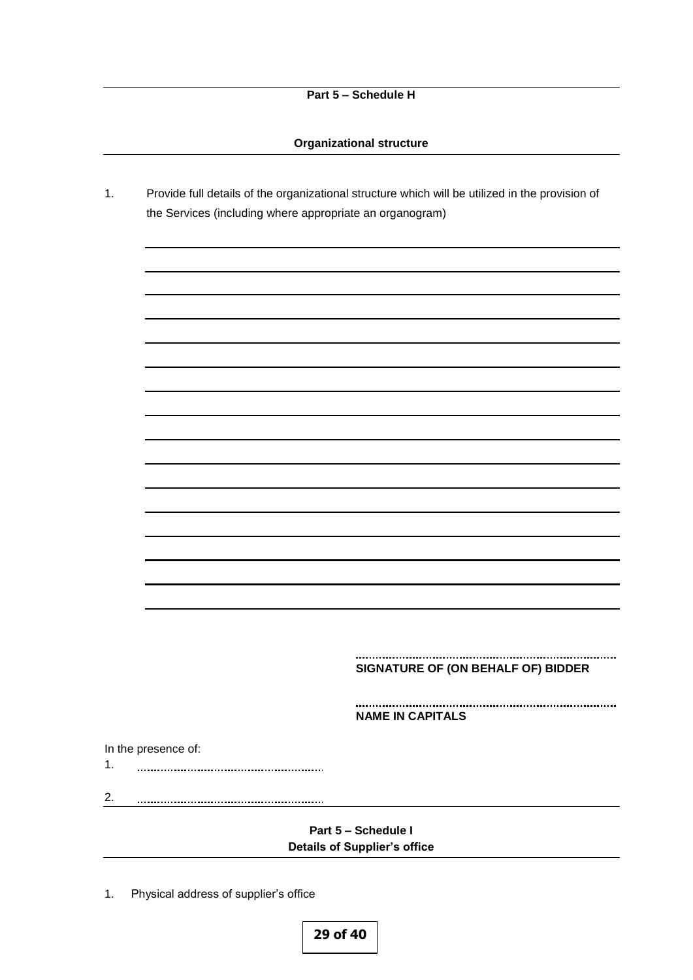### **Organizational structure**

1. Provide full details of the organizational structure which will be utilized in the provision of the Services (including where appropriate an organogram)

#### **SIGNATURE OF (ON BEHALF OF) BIDDER**

**NAME IN CAPITALS**

In the presence of:

- 1.
- 2.

## **Part 5 – Schedule I Details of Supplier's office**

1. Physical address of supplier's office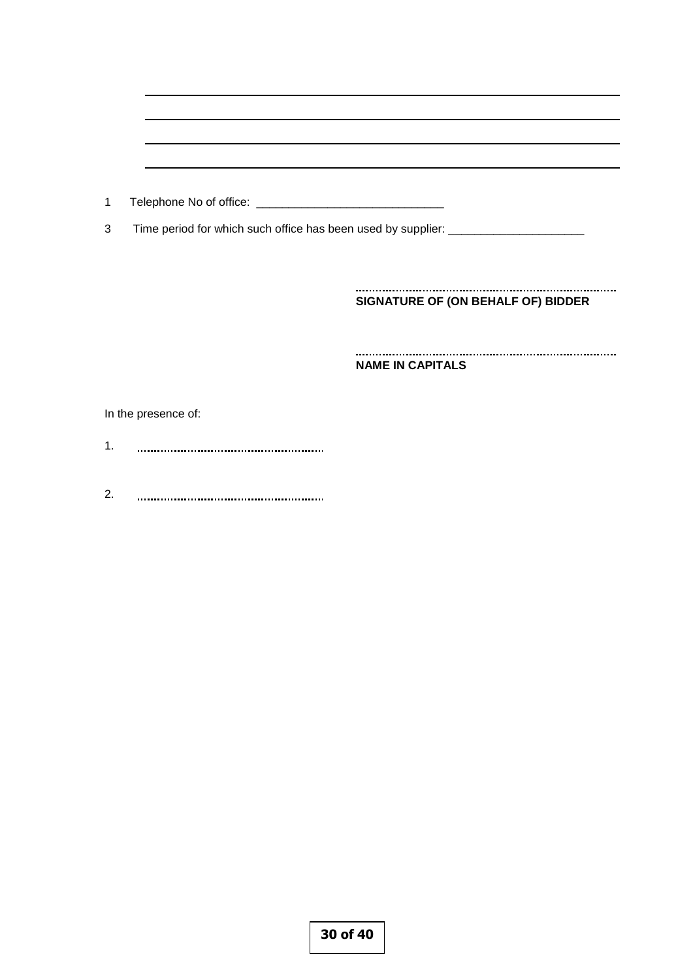| 1  |                                                                                  |                                    |
|----|----------------------------------------------------------------------------------|------------------------------------|
| 3  | Time period for which such office has been used by supplier: ___________________ |                                    |
|    |                                                                                  |                                    |
|    |                                                                                  |                                    |
|    |                                                                                  | SIGNATURE OF (ON BEHALF OF) BIDDER |
|    |                                                                                  |                                    |
|    |                                                                                  |                                    |
|    |                                                                                  | <b>NAME IN CAPITALS</b>            |
|    |                                                                                  |                                    |
|    | In the presence of:                                                              |                                    |
| 1. |                                                                                  |                                    |
|    |                                                                                  |                                    |
|    |                                                                                  |                                    |

2.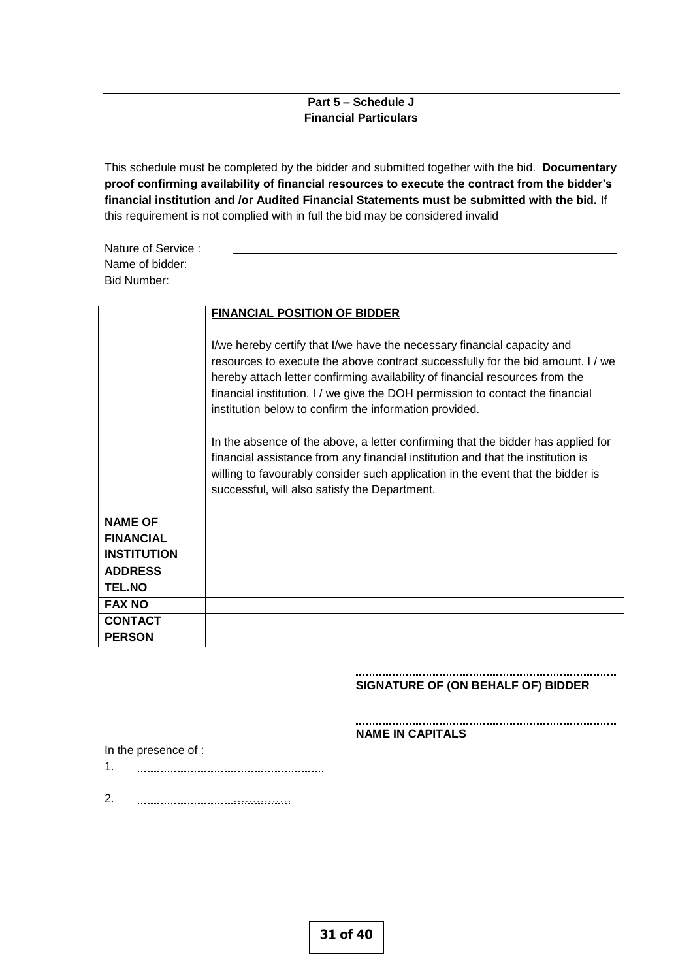## **Part 5 – Schedule J Financial Particulars**

This schedule must be completed by the bidder and submitted together with the bid. **Documentary proof confirming availability of financial resources to execute the contract from the bidder's financial institution and /or Audited Financial Statements must be submitted with the bid.** If this requirement is not complied with in full the bid may be considered invalid

| Nature of Service : |  |
|---------------------|--|
| Name of bidder:     |  |
| Bid Number:         |  |
|                     |  |

|                    | <b>FINANCIAL POSITION OF BIDDER</b>                                                                                                                                                                                                                                                                     |  |
|--------------------|---------------------------------------------------------------------------------------------------------------------------------------------------------------------------------------------------------------------------------------------------------------------------------------------------------|--|
|                    | I/we hereby certify that I/we have the necessary financial capacity and<br>resources to execute the above contract successfully for the bid amount. I / we<br>hereby attach letter confirming availability of financial resources from the                                                              |  |
|                    | financial institution. I / we give the DOH permission to contact the financial<br>institution below to confirm the information provided.                                                                                                                                                                |  |
|                    | In the absence of the above, a letter confirming that the bidder has applied for<br>financial assistance from any financial institution and that the institution is<br>willing to favourably consider such application in the event that the bidder is<br>successful, will also satisfy the Department. |  |
| <b>NAME OF</b>     |                                                                                                                                                                                                                                                                                                         |  |
| <b>FINANCIAL</b>   |                                                                                                                                                                                                                                                                                                         |  |
| <b>INSTITUTION</b> |                                                                                                                                                                                                                                                                                                         |  |
| <b>ADDRESS</b>     |                                                                                                                                                                                                                                                                                                         |  |
| <b>TEL.NO</b>      |                                                                                                                                                                                                                                                                                                         |  |
| <b>FAX NO</b>      |                                                                                                                                                                                                                                                                                                         |  |
| <b>CONTACT</b>     |                                                                                                                                                                                                                                                                                                         |  |
| <b>PERSON</b>      |                                                                                                                                                                                                                                                                                                         |  |

#### **SIGNATURE OF (ON BEHALF OF) BIDDER**

#### **NAME IN CAPITALS**

In the presence of :

- 1.
- 2. ……………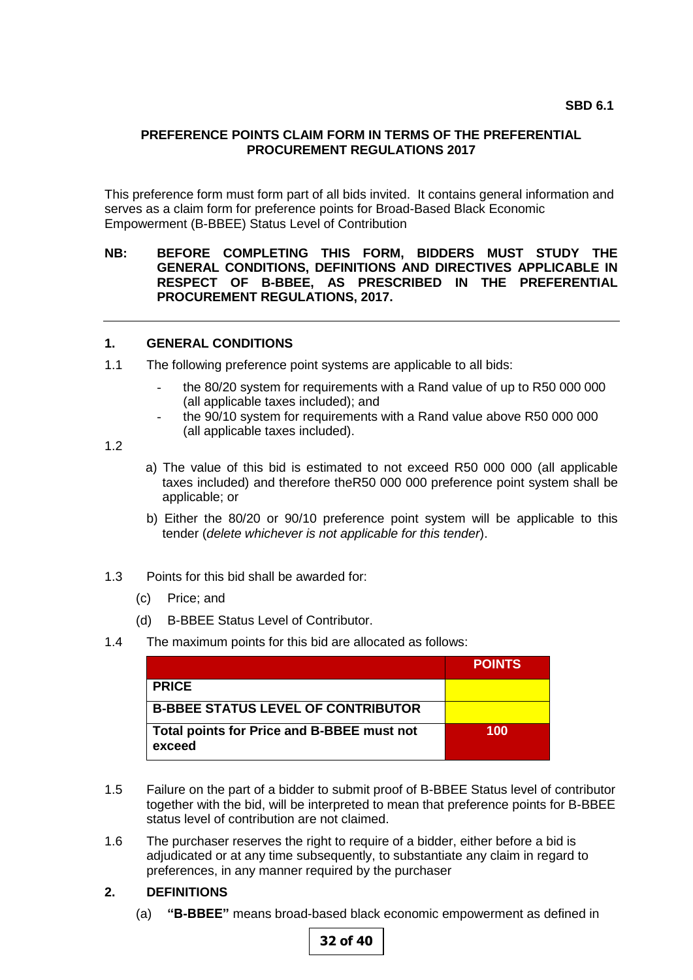## **PREFERENCE POINTS CLAIM FORM IN TERMS OF THE PREFERENTIAL PROCUREMENT REGULATIONS 2017**

This preference form must form part of all bids invited. It contains general information and serves as a claim form for preference points for Broad-Based Black Economic Empowerment (B-BBEE) Status Level of Contribution

## **NB: BEFORE COMPLETING THIS FORM, BIDDERS MUST STUDY THE GENERAL CONDITIONS, DEFINITIONS AND DIRECTIVES APPLICABLE IN RESPECT OF B-BBEE, AS PRESCRIBED IN THE PREFERENTIAL PROCUREMENT REGULATIONS, 2017.**

## **1. GENERAL CONDITIONS**

- 1.1 The following preference point systems are applicable to all bids:
	- the 80/20 system for requirements with a Rand value of up to R50 000 000 (all applicable taxes included); and
	- the 90/10 system for requirements with a Rand value above R50 000 000 (all applicable taxes included).

1.2

- a) The value of this bid is estimated to not exceed R50 000 000 (all applicable taxes included) and therefore theR50 000 000 preference point system shall be applicable; or
- b) Either the 80/20 or 90/10 preference point system will be applicable to this tender (*delete whichever is not applicable for this tender*).
- 1.3 Points for this bid shall be awarded for:
	- (c) Price; and
	- (d) B-BBEE Status Level of Contributor.
- 1.4 The maximum points for this bid are allocated as follows:

|                                                      | <b>POINTS</b> |
|------------------------------------------------------|---------------|
| <b>PRICE</b>                                         |               |
| <b>B-BBEE STATUS LEVEL OF CONTRIBUTOR</b>            |               |
| Total points for Price and B-BBEE must not<br>exceed | 100           |

- 1.5 Failure on the part of a bidder to submit proof of B-BBEE Status level of contributor together with the bid, will be interpreted to mean that preference points for B-BBEE status level of contribution are not claimed.
- 1.6 The purchaser reserves the right to require of a bidder, either before a bid is adjudicated or at any time subsequently, to substantiate any claim in regard to preferences, in any manner required by the purchaser

## **2. DEFINITIONS**

(a) **"B-BBEE"** means broad-based black economic empowerment as defined in

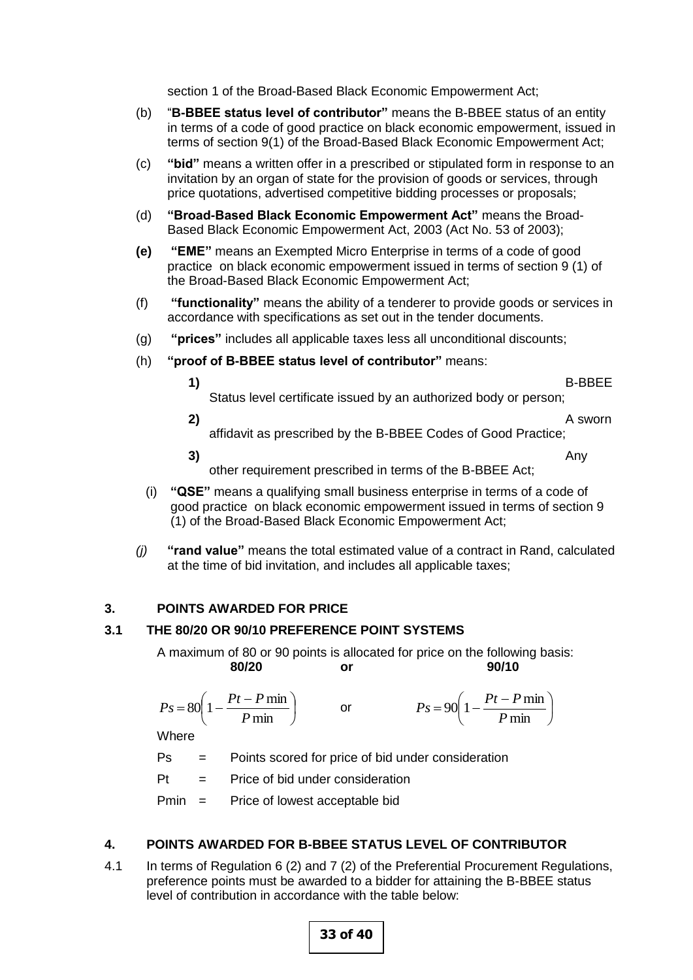section 1 of the Broad-Based Black Economic Empowerment Act;

- (b) "**B-BBEE status level of contributor"** means the B-BBEE status of an entity in terms of a code of good practice on black economic empowerment, issued in terms of section 9(1) of the Broad-Based Black Economic Empowerment Act;
- (c) **"bid"** means a written offer in a prescribed or stipulated form in response to an invitation by an organ of state for the provision of goods or services, through price quotations, advertised competitive bidding processes or proposals;
- (d) **"Broad-Based Black Economic Empowerment Act"** means the Broad-Based Black Economic Empowerment Act, 2003 (Act No. 53 of 2003);
- **(e) "EME"** means an Exempted Micro Enterprise in terms of a code of good practice on black economic empowerment issued in terms of section 9 (1) of the Broad-Based Black Economic Empowerment Act;
- (f) **"functionality"** means the ability of a tenderer to provide goods or services in accordance with specifications as set out in the tender documents.
- (g) **"prices"** includes all applicable taxes less all unconditional discounts;
- (h) **"proof of B-BBEE status level of contributor"** means:
- 
- **1)** B-BBEE Status level certificate issued by an authorized body or person;
- **2)** A sworn affidavit as prescribed by the B-BBEE Codes of Good Practice;
- **3)** Any other requirement prescribed in terms of the B-BBEE Act;
- (i) **"QSE"** means a qualifying small business enterprise in terms of a code of good practice on black economic empowerment issued in terms of section 9 (1) of the Broad-Based Black Economic Empowerment Act;
- *(j)* **"rand value"** means the total estimated value of a contract in Rand, calculated at the time of bid invitation, and includes all applicable taxes;

## **3. POINTS AWARDED FOR PRICE**

## **3.1 THE 80/20 OR 90/10 PREFERENCE POINT SYSTEMS**

A maximum of 80 or 90 points is allocated for price on the following basis: **80/20 or 90/10**

$$
Ps = 80 \left( 1 - \frac{Pt - P \min}{P \min} \right) \qquad \text{or} \qquad \qquad Ps = 90 \left( 1 - \frac{Pt - P \min}{P \min} \right)
$$

Where

Ps = Points scored for price of bid under consideration

 $Pt =$  Price of bid under consideration

Pmin = Price of lowest acceptable bid

# **4. POINTS AWARDED FOR B-BBEE STATUS LEVEL OF CONTRIBUTOR**

4.1 In terms of Regulation 6 (2) and 7 (2) of the Preferential Procurement Regulations, preference points must be awarded to a bidder for attaining the B-BBEE status level of contribution in accordance with the table below: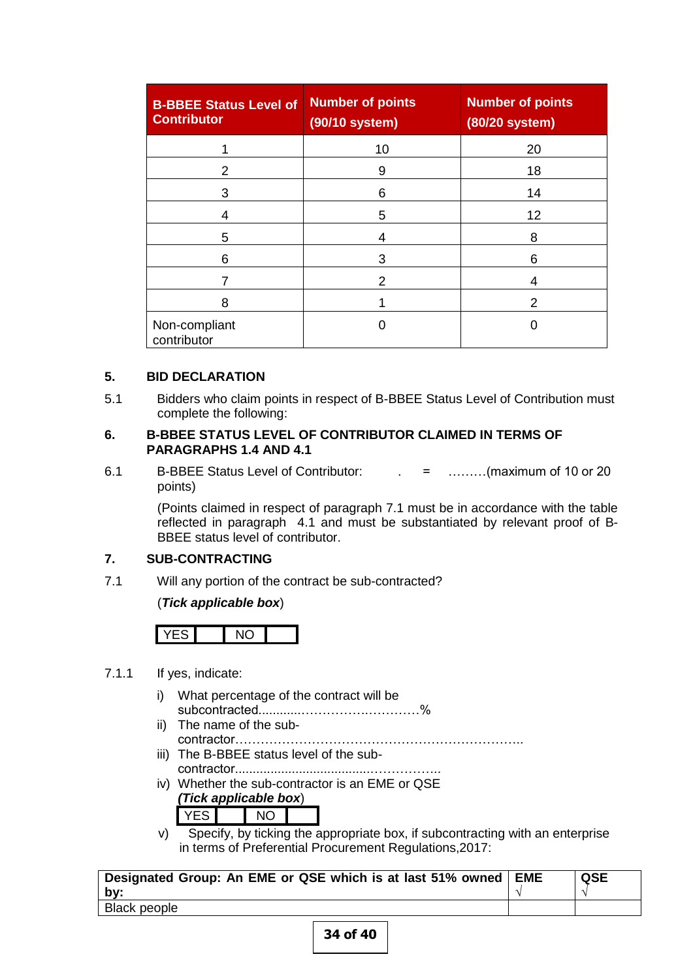| <b>B-BBEE Status Level of</b><br><b>Contributor</b> | <b>Number of points</b><br>(90/10 system) | <b>Number of points</b><br>(80/20 system) |
|-----------------------------------------------------|-------------------------------------------|-------------------------------------------|
|                                                     | 10                                        | 20                                        |
| 2                                                   | 9                                         | 18                                        |
| 3                                                   | 6                                         | 14                                        |
| 4                                                   | 5                                         | 12                                        |
| 5                                                   | 4                                         | 8                                         |
| 6                                                   | 3                                         | 6                                         |
|                                                     | 2                                         | 4                                         |
| 8                                                   |                                           | 2                                         |
| Non-compliant<br>contributor                        |                                           |                                           |

# **5. BID DECLARATION**

5.1 Bidders who claim points in respect of B-BBEE Status Level of Contribution must complete the following:

## **6. B-BBEE STATUS LEVEL OF CONTRIBUTOR CLAIMED IN TERMS OF PARAGRAPHS 1.4 AND 4.1**

6.1 B-BBEE Status Level of Contributor: . = ………(maximum of 10 or 20 points)

> (Points claimed in respect of paragraph 7.1 must be in accordance with the table reflected in paragraph 4.1 and must be substantiated by relevant proof of B-BBEE status level of contributor.

## **7. SUB-CONTRACTING**

7.1 Will any portion of the contract be sub-contracted?

## (*Tick applicable box*)



## 7.1.1 If yes, indicate:

- i) What percentage of the contract will be subcontracted............…………….…………%
- ii) The name of the subcontractor…………………………………………………………..
- iii) The B-BBEE status level of the subcontractor......................................……………..
- iv) Whether the sub-contractor is an EME or QSE *(Tick applicable box*)

YES NO

v) Specify, by ticking the appropriate box, if subcontracting with an enterprise in terms of Preferential Procurement Regulations,2017:

| Designated Group: An EME or QSE which is at last 51% owned   EME | <b>QSE</b> |
|------------------------------------------------------------------|------------|
| bv:                                                              |            |
| Black people                                                     |            |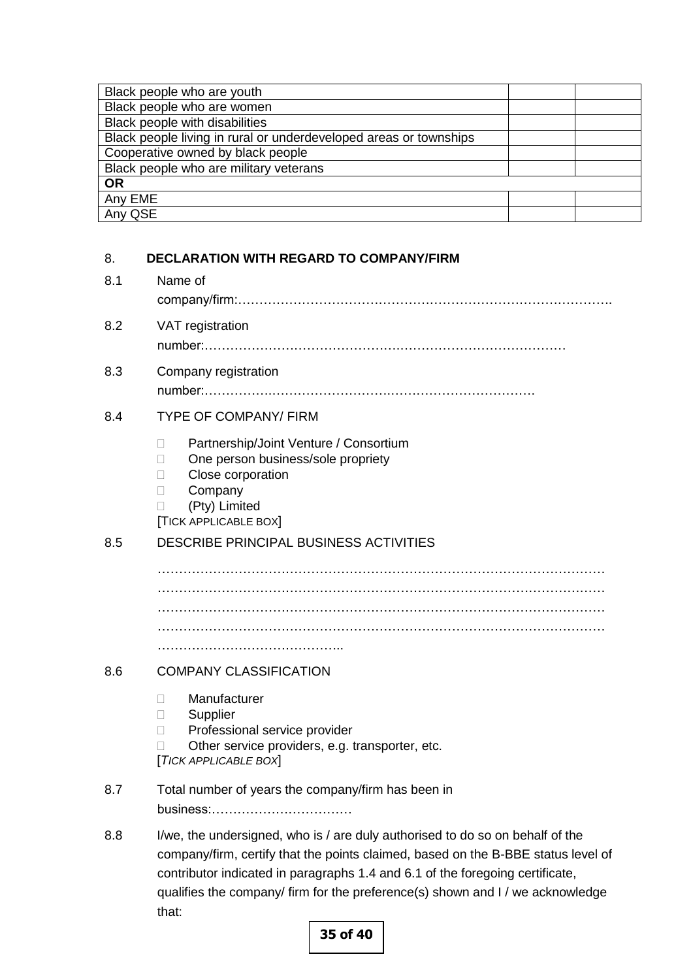| Black people who are youth                                        |  |
|-------------------------------------------------------------------|--|
| Black people who are women                                        |  |
| Black people with disabilities                                    |  |
| Black people living in rural or underdeveloped areas or townships |  |
| Cooperative owned by black people                                 |  |
| Black people who are military veterans                            |  |
| <b>OR</b>                                                         |  |
| Any EME                                                           |  |
| Any QSE                                                           |  |

# 8. **DECLARATION WITH REGARD TO COMPANY/FIRM**

# 8.1 Name of company/firm:…………………………………………………………………………….

- 8.2 VAT registration number:……………………………………….…………………………………
- 8.3 Company registration number:…………….……………………….…………………………….

# 8.4 TYPE OF COMPANY/ FIRM

- □ Partnership/Joint Venture / Consortium
- □ One person business/sole propriety
- **Close corporation**
- **Company**
- (Pty) Limited

[TICK APPLICABLE BOX]

# 8.5 DESCRIBE PRINCIPAL BUSINESS ACTIVITIES

…………………………………………………………………………………………… …………………………………………………………………………………………… …………………………………………………………………………………………… …………………………………………………………………………………………… ………………………………………………

# 8.6 COMPANY CLASSIFICATION

- Manufacturer
- □ Supplier
- □ Professional service provider
- $\Box$  Other service providers, e.g. transporter, etc.

[*TICK APPLICABLE BOX*]

- 8.7 Total number of years the company/firm has been in business:……………………………
- 8.8 I/we, the undersigned, who is / are duly authorised to do so on behalf of the company/firm, certify that the points claimed, based on the B-BBE status level of contributor indicated in paragraphs 1.4 and 6.1 of the foregoing certificate, qualifies the company/ firm for the preference(s) shown and I / we acknowledge that: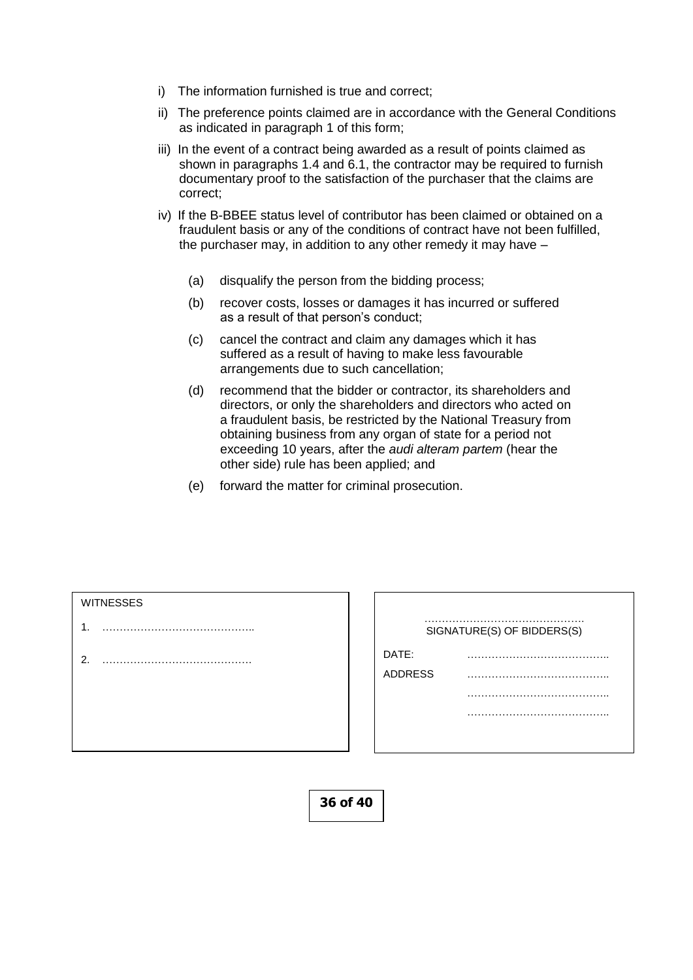- i) The information furnished is true and correct;
- ii) The preference points claimed are in accordance with the General Conditions as indicated in paragraph 1 of this form;
- iii) In the event of a contract being awarded as a result of points claimed as shown in paragraphs 1.4 and 6.1, the contractor may be required to furnish documentary proof to the satisfaction of the purchaser that the claims are correct;
- iv) If the B-BBEE status level of contributor has been claimed or obtained on a fraudulent basis or any of the conditions of contract have not been fulfilled, the purchaser may, in addition to any other remedy it may have –
	- (a) disqualify the person from the bidding process;
	- (b) recover costs, losses or damages it has incurred or suffered as a result of that person's conduct;
	- (c) cancel the contract and claim any damages which it has suffered as a result of having to make less favourable arrangements due to such cancellation;
	- (d) recommend that the bidder or contractor, its shareholders and directors, or only the shareholders and directors who acted on a fraudulent basis, be restricted by the National Treasury from obtaining business from any organ of state for a period not exceeding 10 years, after the *audi alteram partem* (hear the other side) rule has been applied; and
	- (e) forward the matter for criminal prosecution.

- 1. ……………………………………..
- 2. …………………………………….

|                | SIGNATURE(S) OF BIDDERS(S) |
|----------------|----------------------------|
| DATE:          |                            |
| <b>ADDRESS</b> |                            |
|                |                            |
|                | -----                      |
|                |                            |

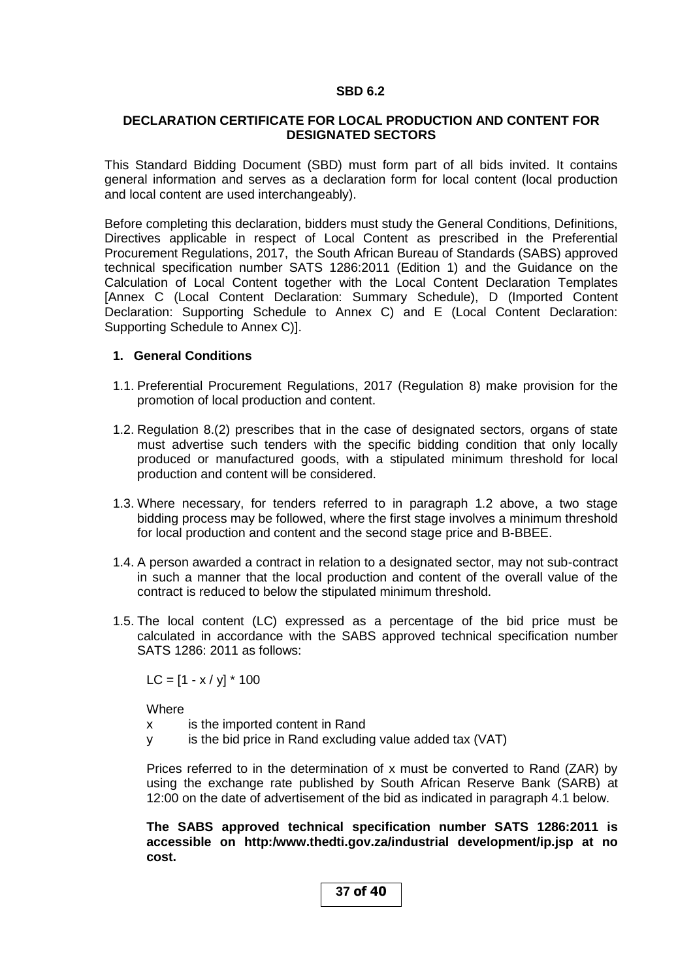### **SBD 6.2**

## **DECLARATION CERTIFICATE FOR LOCAL PRODUCTION AND CONTENT FOR DESIGNATED SECTORS**

This Standard Bidding Document (SBD) must form part of all bids invited. It contains general information and serves as a declaration form for local content (local production and local content are used interchangeably).

Before completing this declaration, bidders must study the General Conditions, Definitions, Directives applicable in respect of Local Content as prescribed in the Preferential Procurement Regulations, 2017, the South African Bureau of Standards (SABS) approved technical specification number SATS 1286:2011 (Edition 1) and the Guidance on the Calculation of Local Content together with the Local Content Declaration Templates [Annex C (Local Content Declaration: Summary Schedule), D (Imported Content Declaration: Supporting Schedule to Annex C) and E (Local Content Declaration: Supporting Schedule to Annex C)].

## **1. General Conditions**

- 1.1. Preferential Procurement Regulations, 2017 (Regulation 8) make provision for the promotion of local production and content.
- 1.2. Regulation 8.(2) prescribes that in the case of designated sectors, organs of state must advertise such tenders with the specific bidding condition that only locally produced or manufactured goods, with a stipulated minimum threshold for local production and content will be considered.
- 1.3. Where necessary, for tenders referred to in paragraph 1.2 above, a two stage bidding process may be followed, where the first stage involves a minimum threshold for local production and content and the second stage price and B-BBEE.
- 1.4. A person awarded a contract in relation to a designated sector, may not sub-contract in such a manner that the local production and content of the overall value of the contract is reduced to below the stipulated minimum threshold.
- 1.5. The local content (LC) expressed as a percentage of the bid price must be calculated in accordance with the SABS approved technical specification number SATS 1286: 2011 as follows:

 $LC = [1 - x / y] * 100$ 

**Where** 

- x is the imported content in Rand
- y is the bid price in Rand excluding value added tax (VAT)

Prices referred to in the determination of x must be converted to Rand (ZAR) by using the exchange rate published by South African Reserve Bank (SARB) at 12:00 on the date of advertisement of the bid as indicated in paragraph 4.1 below.

**The SABS approved technical specification number SATS 1286:2011 is accessible on http:/www.thedti.gov.za/industrial development/ip.jsp at no cost.**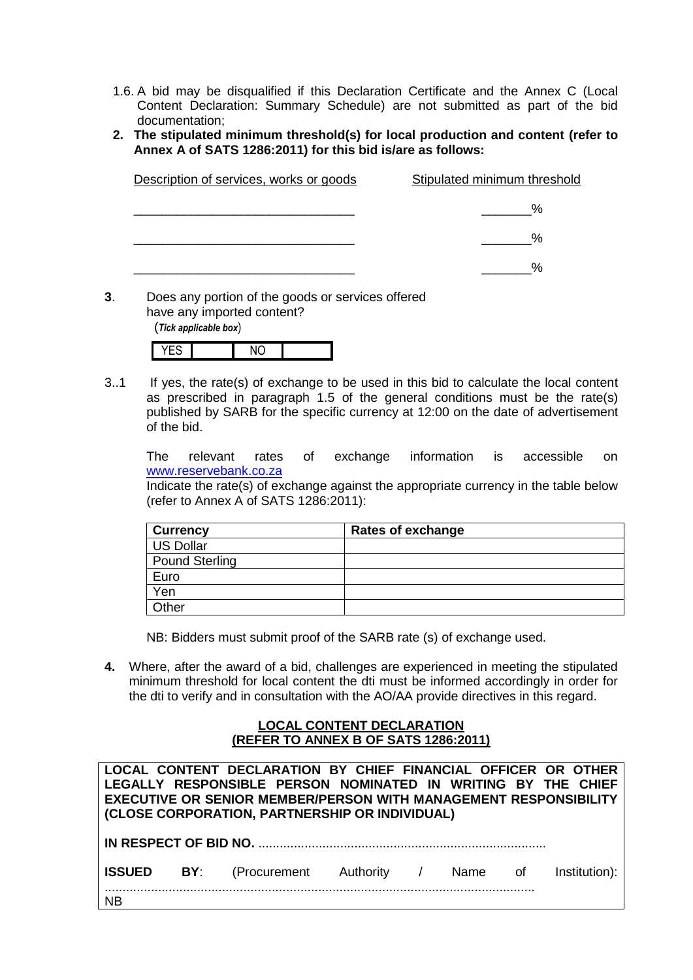- 1.6. A bid may be disqualified if this Declaration Certificate and the Annex C (Local Content Declaration: Summary Schedule) are not submitted as part of the bid documentation;
- **2. The stipulated minimum threshold(s) for local production and content (refer to Annex A of SATS 1286:2011) for this bid is/are as follows:**

| Description of services, works or goods | Stipulated minimum threshold |
|-----------------------------------------|------------------------------|
|                                         | $\%$                         |
|                                         | %                            |
|                                         | $\%$                         |

**3**. Does any portion of the goods or services offered have any imported content?

(*Tick applicable box*)

3..1 If yes, the rate(s) of exchange to be used in this bid to calculate the local content as prescribed in paragraph 1.5 of the general conditions must be the rate(s) published by SARB for the specific currency at 12:00 on the date of advertisement of the bid.

The relevant rates of exchange information is accessible on [www.reservebank.co.za](http://www.reservebank.co.za/)

Indicate the rate(s) of exchange against the appropriate currency in the table below (refer to Annex A of SATS 1286:2011):

| <b>Currency</b> | Rates of exchange |
|-----------------|-------------------|
| US Dollar       |                   |
| Pound Sterling  |                   |
| Euro            |                   |
| Yen             |                   |
| Other           |                   |

NB: Bidders must submit proof of the SARB rate (s) of exchange used.

**4.** Where, after the award of a bid, challenges are experienced in meeting the stipulated minimum threshold for local content the dti must be informed accordingly in order for the dti to verify and in consultation with the AO/AA provide directives in this regard.

## **LOCAL CONTENT DECLARATION (REFER TO ANNEX B OF SATS 1286:2011)**

|           | LOCAL CONTENT DECLARATION BY CHIEF FINANCIAL OFFICER OR OTHER<br>LEGALLY RESPONSIBLE PERSON NOMINATED IN WRITING BY THE CHIEF<br><b>EXECUTIVE OR SENIOR MEMBER/PERSON WITH MANAGEMENT RESPONSIBILITY</b><br>(CLOSE CORPORATION, PARTNERSHIP OR INDIVIDUAL) |  |  |  |
|-----------|------------------------------------------------------------------------------------------------------------------------------------------------------------------------------------------------------------------------------------------------------------|--|--|--|
|           |                                                                                                                                                                                                                                                            |  |  |  |
|           | <b>ISSUED BY:</b> (Procurement Authority / Name of Institution):                                                                                                                                                                                           |  |  |  |
| <b>NB</b> |                                                                                                                                                                                                                                                            |  |  |  |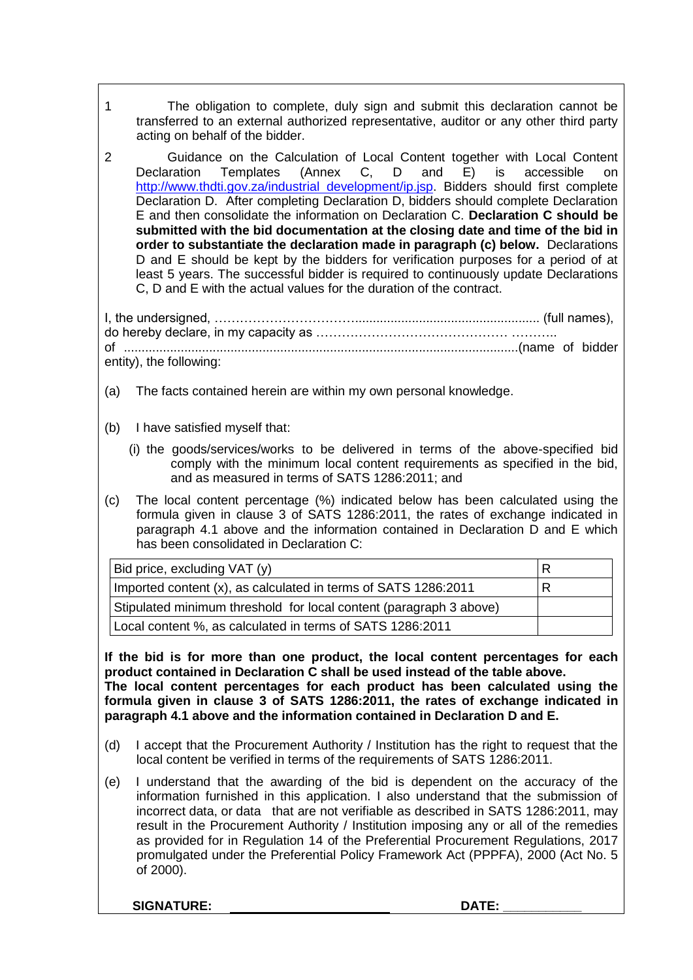- 1 The obligation to complete, duly sign and submit this declaration cannot be transferred to an external authorized representative, auditor or any other third party acting on behalf of the bidder.
- 2 Guidance on the Calculation of Local Content together with Local Content<br>Declaration Templates (Annex C, D and E) is accessible on Declaration Templates (Annex C, D and E) is accessible on [http://www.thdti.gov.za/industrial development/ip.jsp.](http://www.thdti.gov.za/industrial%20development/ip.jsp) Bidders should first complete Declaration D. After completing Declaration D, bidders should complete Declaration E and then consolidate the information on Declaration C. **Declaration C should be submitted with the bid documentation at the closing date and time of the bid in order to substantiate the declaration made in paragraph (c) below.** Declarations D and E should be kept by the bidders for verification purposes for a period of at least 5 years. The successful bidder is required to continuously update Declarations C, D and E with the actual values for the duration of the contract.

I, the undersigned, …………………………………………………………………………………………… (full names), do hereby declare, in my capacity as ……………………………………… ……….. of ...............................................................................................................(name of bidder entity), the following:

- (a) The facts contained herein are within my own personal knowledge.
- (b) I have satisfied myself that:
	- (i) the goods/services/works to be delivered in terms of the above-specified bid comply with the minimum local content requirements as specified in the bid, and as measured in terms of SATS 1286:2011; and
- (c) The local content percentage (%) indicated below has been calculated using the formula given in clause 3 of SATS 1286:2011, the rates of exchange indicated in paragraph 4.1 above and the information contained in Declaration D and E which has been consolidated in Declaration C:

| Bid price, excluding VAT (y)                                       |  |
|--------------------------------------------------------------------|--|
| Imported content (x), as calculated in terms of SATS 1286:2011     |  |
| Stipulated minimum threshold for local content (paragraph 3 above) |  |
| Local content %, as calculated in terms of SATS 1286:2011          |  |

**If the bid is for more than one product, the local content percentages for each product contained in Declaration C shall be used instead of the table above. The local content percentages for each product has been calculated using the formula given in clause 3 of SATS 1286:2011, the rates of exchange indicated in paragraph 4.1 above and the information contained in Declaration D and E.**

- (d) I accept that the Procurement Authority / Institution has the right to request that the local content be verified in terms of the requirements of SATS 1286:2011.
- (e) I understand that the awarding of the bid is dependent on the accuracy of the information furnished in this application. I also understand that the submission of incorrect data, or data that are not verifiable as described in SATS 1286:2011, may result in the Procurement Authority / Institution imposing any or all of the remedies as provided for in Regulation 14 of the Preferential Procurement Regulations, 2017 promulgated under the Preferential Policy Framework Act (PPPFA), 2000 (Act No. 5 of 2000).

SIGNATURE: **DATE:**  $\blacksquare$